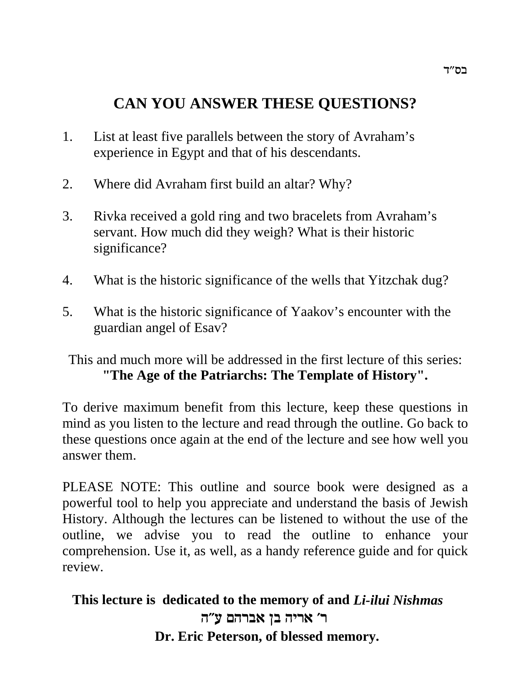# **CAN YOU ANSWER THESE QUESTIONS?**

- 1. List at least five parallels between the story of Avraham's experience in Egypt and that of his descendants.
- 2. Where did Avraham first build an altar? Why?
- 3. Rivka received a gold ring and two bracelets from Avraham's servant. How much did they weigh? What is their historic significance?
- 4. What is the historic significance of the wells that Yitzchak dug?
- 5. What is the historic significance of Yaakov's encounter with the guardian angel of Esav?

This and much more will be addressed in the first lecture of this series: **"The Age of the Patriarchs: The Template of History".**

To derive maximum benefit from this lecture, keep these questions in mind as you listen to the lecture and read through the outline. Go back to these questions once again at the end of the lecture and see how well you answer them.

PLEASE NOTE: This outline and source book were designed as a powerful tool to help you appreciate and understand the basis of Jewish History. Although the lectures can be listened to without the use of the outline, we advise you to read the outline to enhance your comprehension. Use it, as well, as a handy reference guide and for quick review.

**This lecture is dedicated to the memory of and** *Li-ilui Nishmas* ר' אריה בן אברהם ע"ה  **Dr. Eric Peterson, of blessed memory.**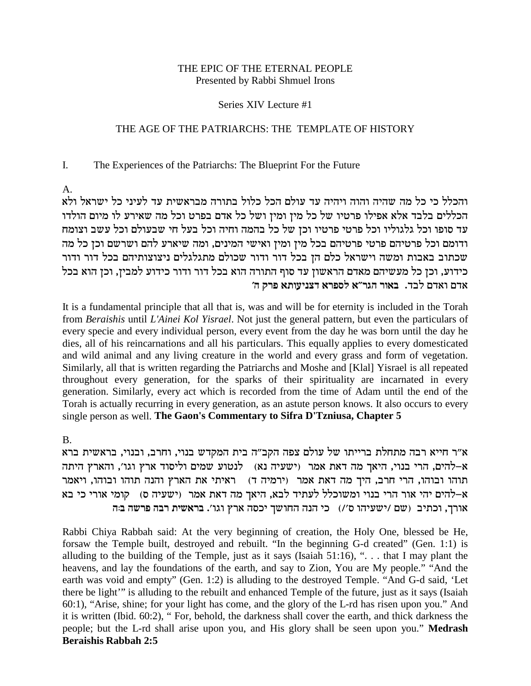### THE EPIC OF THE ETERNAL PEOPLE Presented by Rabbi Shmuel Irons

### Series XIV Lecture #1

### THE AGE OF THE PATRIARCHS: THE TEMPLATE OF HISTORY

#### $\mathbf{I}$ . The Experiences of the Patriarchs: The Blueprint For the Future

 $\mathsf{A}$ .

והכלל כי כל מה שהיה והוה ויהיה עד עולם הכל כלול בתורה מבראשית עד לעיני כל ישראל ולא הכללים בלבד אלא אפילו פרטיו של כל מיז ומיז ושל כל אדם בפרט וכל מה שאירע לו מיום הולדו עד סופו וכל גלגוליו וכל פרטי פרטיו וכן של כל בהמה וחיה וכל בעל חי שבעולם וכל עשב וצומח ודומם וכל פרטיהם פרטי פרטיהם בכל מין ומין ואישי המינים, ומה שיארע להם ושרשם וכן כל מה שכתוב באבות ומשה וישראל כלם הן בכל דור ודור שכולם מתגלגלים ניצוצותיהם בכל דור ודור כידוע, וכן כל מעשיהם מאדם הראשון עד סוף התורה הוא בכל דור ודור כידוע למבין, וכן הוא בכל אדם ואדם לבד. באור הגר״א לספרא דצניעותא פרק ה׳

It is a fundamental principle that all that is, was and will be for eternity is included in the Torah from Beraishis until L'Ainei Kol Yisrael. Not just the general pattern, but even the particulars of every specie and every individual person, every event from the day he was born until the day he dies, all of his reincarnations and all his particulars. This equally applies to every domesticated and wild animal and any living creature in the world and every grass and form of vegetation. Similarly, all that is written regarding the Patriarchs and Moshe and [Klal] Yisrael is all repeated throughout every generation, for the sparks of their spirituality are incarnated in every generation. Similarly, every act which is recorded from the time of Adam until the end of the Torah is actually recurring in every generation, as an astute person knows. It also occurs to every single person as well. The Gaon's Commentary to Sifra D'Tzniusa, Chapter 5

 $B<sub>1</sub>$ 

א״ר חייא רבה מתחלת ברייתו של עולם צפה הקב״ה בית המקדש בנוי, וחרב, ובנוי, בראשית ברא א-להים, הרי בנוי, היאך מה דאת אמר (ישעיה נא) לנטוע שמים וליסוד ארץ וגו׳, והארץ היתה תוהו ובוהו, הרי חרב, היך מה דאת אמר (ירמיה ד) | ראיתי את הארץ והנה תוהו ובוהו, ויאמר א-להים יהי אור הרי בנוי ומשוכלל לעתיד לבא, היאך מה דאת אמר (ישעיה ס) קומי אורי כי בא אורך, וכתיב (שם /ישעיהו ס'/) כי הנה החושך יכסה ארץ וגו'. בראשית רבה פרשה ב:ה

Rabbi Chiya Rabbah said: At the very beginning of creation, the Holy One, blessed be He, forsaw the Temple built, destroyed and rebuilt. "In the beginning G-d created" (Gen. 1:1) is alluding to the building of the Temple, just as it says (Isaiah  $51:16$ ), "... that I may plant the heavens, and lay the foundations of the earth, and say to Zion, You are My people." "And the earth was void and empty" (Gen. 1:2) is alluding to the destroyed Temple. "And G-d said, 'Let there be light" is alluding to the rebuilt and enhanced Temple of the future, just as it says (Isaiah 60:1), "Arise, shine; for your light has come, and the glory of the L-rd has risen upon you." And it is written (Ibid. 60:2), "For, behold, the darkness shall cover the earth, and thick darkness the people; but the L-rd shall arise upon you, and His glory shall be seen upon you." Medrash **Beraishis Rabbah 2:5**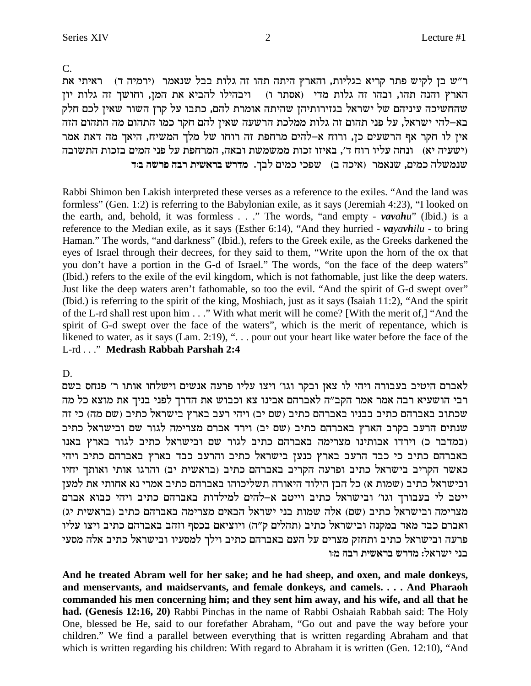**And he treated Abram well for her sake; and he had sheep, and oxen, and male donkeys, and menservants, and maidservants, and female donkeys, and camels. . . . And Pharaoh commanded his men concerning him; and they sent him away, and his wife, and all that he had. (Genesis 12:16, 20)** Rabbi Pinchas in the name of Rabbi Oshaiah Rabbah said: The Holy One, blessed be He, said to our forefather Abraham, "Go out and pave the way before your children." We find a parallel between everything that is written regarding Abraham and that which is written regarding his children: With regard to Abraham it is written (Gen. 12:10), "And

במדבר כ) וירדו אבותינו מצרימה באברהם כתיב לגור שם ובישראל כתיב לגור בארץ באנו) באברהם כתיב כי כבד הרעב בארץ כנען בישראל כתיב והרעב כבד בארץ באברהם כתיב ויהי כאשר הקריב בישראל כתיב ופרעה הקריב באברהם כתיב (בראשית יב) והרגו אותי ואותך יחיו ובישראל כתיב (שמות א) כל הבן הילוד היאורה תשליכוהו באברהם כתיב אמרי נא אחותי את למען ייטב לי בעבורך וגו' ובישראל כתיב וייטב א-להים למילדות באברהם כתיב ויהי כבוא אברם (מצרימה ובישראל כתיב (שם) אלה שמות בני ישראל הבאים מצרימה באברהם כתיב (בראשית יג ואברם כבד מאד במקנה ובישראל כתיב (תהלים ק"ה) ויוציאם בכסף וזהב באברהם כתיב ויצו עליו פרעה ובישראל כתיב ותחזק מצרים על העם באברהם כתיב וילך למסעיו ובישראל כתיב אלה מסעי בני ישראל: מדרש בראשית רבה מוּו

לאברם היטיב בעבורה ויהי לו צאן ובקר וגו׳ ויצו עליו פרעה אנשים וישלחו אותו ר׳ פנחס בשם רבי הושעיא רבה אמר אמר הקב״ה לאברהם אבינו צא וכבוש את הדרך לפני בניך את מוצא כל מה סכתוב באברהם כתיב בבניו באברהם כתיב (שם יב) ויהי רעב בארץ בישראל כתיב (שם מה) כי זה  $w$ שנתים הרעב בקרב הארץ באברהם כתיב (שם יב) וירד אברם מצרימה לגור שם ובישראל כתיב

of the L-rd shall rest upon him . . ." With what merit will he come? [With the merit of,] "And the spirit of G-d swept over the face of the waters", which is the merit of repentance, which is likened to water, as it says (Lam. 2:19), ". . . pour out your heart like water before the face of the L-rd . . ." **Medrash Rabbah Parshah 2:4**

**c:a dyxt dax ziy`xa yxcn** .jal mink ikty (a dki`) xn`py ,mink dlynpy Rabbi Shimon ben Lakish interpreted these verses as a reference to the exiles. "And the land was formless" (Gen. 1:2) is referring to the Babylonian exile, as it says (Jeremiah 4:23), "I looked on the earth, and, behold, it was formless . . ." The words, "and empty - *vavahu*" (Ibid.) is a reference to the Median exile, as it says (Esther 6:14), "And they hurried - *vayavhilu -* to bring Haman." The words, "and darkness" (Ibid.), refers to the Greek exile, as the Greeks darkened the eyes of Israel through their decrees, for they said to them, "Write upon the horn of the ox that you don't have a portion in the G-d of Israel." The words, "on the face of the deep waters" (Ibid.) refers to the exile of the evil kingdom, which is not fathomable, just like the deep waters. Just like the deep waters aren't fathomable, so too the evil. "And the spirit of G-d swept over" (Ibid.) is referring to the spirit of the king, Moshiach, just as it says (Isaiah 11:2), "And the spirit

 $C_{\cdot}$ ר"ש בן לקיש פתר קריא בגליות, והארץ היתה תהו זה גלות בבל שנאמר (ירמיה ד) - ראיתי את הארץ והנה תהו, ובהו זה גלות מדי (אסתר ו) | ויבהילו להביא את המן, וחושך זה גלות יון שהחשיכה עיניהם של ישראל בגזירותיהן שהיתה אומרת להם, כתבו על קרן השור שאין לכם חלק בא–להי ישראל, על פני תהום זה גלות ממלכת הרשעה שאין להם חקר כמו התהום מה התהום הזה אין לו חקר אף הרשעים כן, ורוח א-להים מרחפת זה רוחו של מלך המשיח, היאך מה דאת אמר ישעיה יא) ונחה עליו רוח ד', באיזו זכות ממשמשת ובאה, המרחפת על פני המים בזכות התשובה)

D.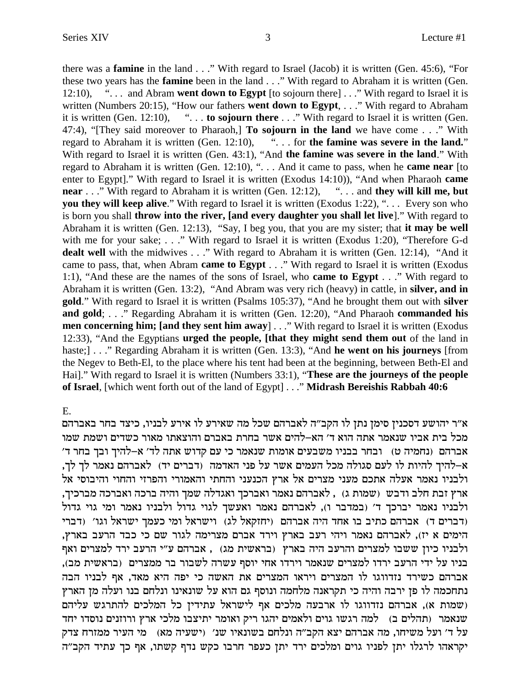there was a **famine** in the land . . ." With regard to Israel (Jacob) it is written (Gen. 45:6), "For these two years has the **famine** been in the land . . ." With regard to Abraham it is written (Gen. 12:10), ". . . and Abram **went down to Egypt** [to sojourn there] . . ." With regard to Israel it is written (Numbers 20:15), "How our fathers **went down to Egypt**, . . ." With regard to Abraham it is written (Gen. 12:10), ". . . **to sojourn there** . . ." With regard to Israel it is written (Gen. 47:4), "[They said moreover to Pharaoh,] **To sojourn in the land** we have come . . ." With regard to Abraham it is written (Gen. 12:10), ". . . for **the famine was severe in the land.**" With regard to Israel it is written (Gen. 43:1), "And **the famine was severe in the land**." With regard to Abraham it is written (Gen. 12:10), ". . . And it came to pass, when he **came near** [to enter to Egypt]." With regard to Israel it is written (Exodus 14:10)), "And when Pharaoh **came near** . . ." With regard to Abraham it is written (Gen. 12:12), ". . . and **they will kill me, but you they will keep alive.**" With regard to Israel it is written (Exodus 1:22), "... Every son who is born you shall **throw into the river, [and every daughter you shall let live**]." With regard to Abraham it is written (Gen. 12:13), "Say, I beg you, that you are my sister; that **it may be well** with me for your sake; . . ." With regard to Israel it is written (Exodus 1:20), "Therefore G-d dealt well with the midwives . . ." With regard to Abraham it is written (Gen. 12:14), "And it came to pass, that, when Abram **came to Egypt** . . ." With regard to Israel it is written (Exodus 1:1), "And these are the names of the sons of Israel, who **came to Egypt** . . ." With regard to Abraham it is written (Gen. 13:2), "And Abram was very rich (heavy) in cattle, in **silver, and in gold**." With regard to Israel it is written (Psalms 105:37), "And he brought them out with **silver and gold**; . . ." Regarding Abraham it is written (Gen. 12:20), "And Pharaoh **commanded his men concerning him; [and they sent him away**] . . ." With regard to Israel it is written (Exodus 12:33), "And the Egyptians **urged the people, [that they might send them out** of the land in haste;] . . ." Regarding Abraham it is written (Gen. 13:3), "And **he went on his journeys** [from the Negev to Beth-El, to the place where his tent had been at the beginning, between Beth-El and Hai]." With regard to Israel it is written (Numbers 33:1), "**These are the journeys of the people of Israel**, [which went forth out of the land of Egypt] . . ."**Midrash Bereishis Rabbah 40:6**

### E.

א״ר יהושע דסכנין סימן נתן לו הקב״ה לאברהם שכל מה שאירע לו אירע לבניו, כיצד בחר באברהם מכל בית אביו שנאמר אתה הוא ד׳ הא–להים אשר בחרת באברם והוצאתו מאור כשדים ושמת שמו 'אברהם (נחמיה ט) ובחר בבניו משבעים אומות שנאמר כי עם קדוש אתה לד' א-להיך ובך בחר ד ,א–להיך להיות לו לעם סגולה מכל העמים אשר על פני האדמה (דברים יד) לאברהם נאמר לך לך ולבניו נאמר אעלה אתכם מעני מצרים אל ארץ הכנעני והחתי והאמורי והפרזי והחוי והיבוסי אל , ארץ זבת חלב ודבש (שמות ג) , לאברהם נאמר ואברכך ואגדלה שמך והיה ברכה ואברכה מברכיך ולבניו נאמר יברכך ד' (במדבר ו), לאברהם נאמר ואעשך לגוי גדול ולבניו נאמר ומי גוי גדול ודברים ד) אברהם כתיב בו אחד היה אברהם (יחזקאל לג) וישראל ומי כעמך ישראל וגו׳ (דברי) הימים א יז), לאברהם נאמר ויהי רעב בארץ וירד אברם מצרימה לגור שם כי כבד הרעב בארץ, ולבניו כיון ששבו למצרים והרעב היה בארץ (בראשית מג), אברהם ע"י הרעב ירד למצרים ואף בניו על ידי הרעב ירדו למצרים שנאמר וירדו אחי יוסף עשרה לשבור בר ממצרים (בראשית מב), אברהם כשירד נזדווגו לו המצרים ויראו המצרים את האשה כי יפה היא מאד, אף לבניו הבה נתחכמה לו פז ירבה והיה כי תקראנה מלחמה ונוסף גם הוא על שונאינו ונלחם בנו ועלה מן הארץ ושמות א), אברהם נזדווגו לו ארבעה מלכים אף לישראל עתידין כל המלכים להתרגש עליהם) שנאמר (תהלים ב) למה רגשו גוים ולאמים יהגו ריק ואומר יתיצבו מלכי ארץ ורוזנים נוסדו יחד על ד׳ ועל משיחו, מה אברהם יצא הקב״ה ונלחם בשונאיו שנ׳ (ישעיה מא)  $\alpha$ י העיר ממזרח צדק יקראהו לרגלו יתן לפניו גוים ומלכים ירד יתן כעפר חרבו כקש נדף קשתו, אף כך עתיד הקב"ה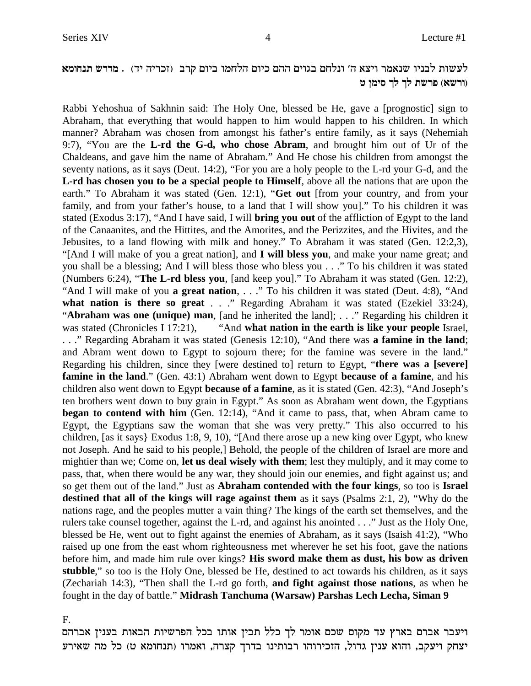## לעשות לבניו שנאמר ויצא ה׳ ונלחם בגוים ההם כיום הלחמו ביום קרב (זכריה יד) . מדרש תנחומא **h oniq jl jl zyxt (`yxe)**

Rabbi Yehoshua of Sakhnin said: The Holy One, blessed be He, gave a [prognostic] sign to Abraham, that everything that would happen to him would happen to his children. In which manner? Abraham was chosen from amongst his father's entire family, as it says (Nehemiah 9:7), "You are the **L-rd the G-d, who chose Abram**, and brought him out of Ur of the Chaldeans, and gave him the name of Abraham." And He chose his children from amongst the seventy nations, as it says (Deut. 14:2), "For you are a holy people to the L-rd your G-d, and the **L-rd has chosen you to be a special people to Himself**, above all the nations that are upon the earth." To Abraham it was stated (Gen. 12:1), "**Get out** [from your country, and from your family, and from your father's house, to a land that I will show you]." To his children it was stated (Exodus 3:17), "And I have said, I will **bring you out** of the affliction of Egypt to the land of the Canaanites, and the Hittites, and the Amorites, and the Perizzites, and the Hivites, and the Jebusites, to a land flowing with milk and honey." To Abraham it was stated (Gen. 12:2,3), "[And I will make of you a great nation], and **I will bless you**, and make your name great; and you shall be a blessing; And I will bless those who bless you . . ." To his children it was stated (Numbers 6:24), "**The L-rd bless you**, [and keep you]." To Abraham it was stated (Gen. 12:2), "And I will make of you **a great nation**, . . ." To his children it was stated (Deut. 4:8), "And **what nation is there so great** . . ." Regarding Abraham it was stated (Ezekiel 33:24), "**Abraham was one (unique) man**, [and he inherited the land]; . . ." Regarding his children it was stated (Chronicles I 17:21), "And **what nation in the earth is like your people** Israel, . . ." Regarding Abraham it was stated (Genesis 12:10), "And there was **a famine in the land**; and Abram went down to Egypt to sojourn there; for the famine was severe in the land." Regarding his children, since they [were destined to] return to Egypt, "**there was a [severe] famine in the land**." (Gen. 43:1) Abraham went down to Egypt **because of a famine**, and his children also went down to Egypt **because of a famine**, as it is stated (Gen. 42:3), "And Joseph's ten brothers went down to buy grain in Egypt." As soon as Abraham went down, the Egyptians **began to contend with him** (Gen. 12:14), "And it came to pass, that, when Abram came to Egypt, the Egyptians saw the woman that she was very pretty." This also occurred to his children, [as it says} Exodus 1:8, 9, 10), "[And there arose up a new king over Egypt, who knew not Joseph. And he said to his people,] Behold, the people of the children of Israel are more and mightier than we; Come on, **let us deal wisely with them**; lest they multiply, and it may come to pass, that, when there would be any war, they should join our enemies, and fight against us; and so get them out of the land." Just as **Abraham contended with the four kings**, so too is **Israel destined that all of the kings will rage against them** as it says (Psalms 2:1, 2), "Why do the nations rage, and the peoples mutter a vain thing? The kings of the earth set themselves, and the rulers take counsel together, against the L-rd, and against his anointed . . ." Just as the Holy One, blessed be He, went out to fight against the enemies of Abraham, as it says (Isaish 41:2), "Who raised up one from the east whom righteousness met wherever he set his foot, gave the nations before him, and made him rule over kings? **His sword make them as dust, his bow as driven stubble**," so too is the Holy One, blessed be He, destined to act towards his children, as it says (Zechariah 14:3), "Then shall the L-rd go forth, **and fight against those nations**, as when he fought in the day of battle."**Midrash Tanchuma (Warsaw) Parshas Lech Lecha, Siman 9**

### F.

ויעבר אברם בארץ עד מקום שכם אומר לך כלל תבין אותו בכל הפרשיות הבאות בענין אברהם יצחק ויעקב, והוא ענין גדול, הזכירוהו רבותינו בדרך קצרה, ואמרו (תנחומא ט) כל מה שאירע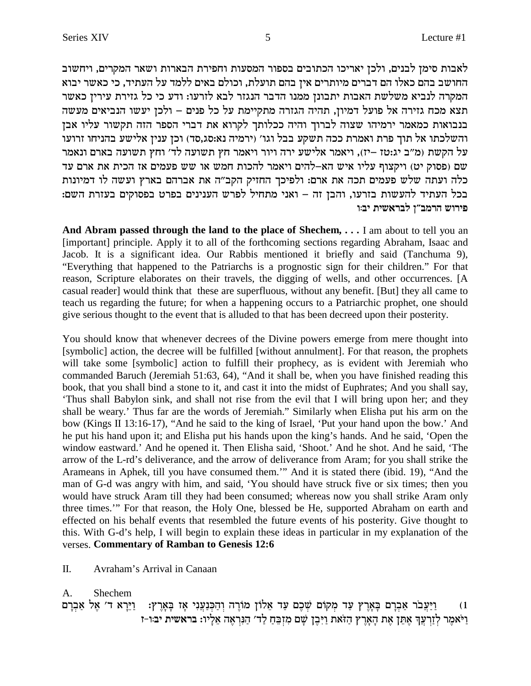לאבות סימן לבנים, ולכן יאריכו הכתובים בספור המסעות וחפירת הבארות ושאר המקרים, ויחשוב החושב בהם כאלו הם דברים מיותרים אין בהם תועלת, וכולם באים ללמד על העתיד, כי כאשר יבוא המקרה לנביא משלשת האבות יתבונן ממנו הדבר הנגזר לבא לזרעו: ודע כי כל גזירת עירין כאשר תצא מכח גזירה אל פועל דמיון, תהיה הגזרה מתקיימת על כל פנים – ולכן יעשו הנביאים מעשה בנבואות כמאמר ירמיהו שצוה לברוך והיה ככלותך לקרוא את דברי הספר הזה תקשור עליו אבן והשלכתו אל תוך פרת ואמרת ככה תשקע בבל וגו׳ (ירמיה נא:סג,סד) וכן ענין אלישע בהניחו זרועו על הקשת (מ"ב יג:טז –יז), ויאמר אלישע ירה ויור ויאמר חץ תשועה לד' וחץ תשועה בארם ונאמר שם (פסוק יט) ויקצוף עליו איש הא–להים ויאמר להכות חמש או שש פעמים אז הכית את ארם עד כלה ועתה שלש פעמים תכה את ארם: ולפיכך החזיק הקב"ה את אברהם בארץ ועשה לו דמיונות בכל העתיד להעשות בזרעו, והבן זה – ואני מתחיל לפרש הענינים בפרט בפסוקים בעזרת השם: פירוש הרמב״ו לבראשית יבוו

And Abram passed through the land to the place of Shechem,  $\dots$  I am about to tell you an [important] principle. Apply it to all of the forthcoming sections regarding Abraham, Isaac and Jacob. It is a significant idea. Our Rabbis mentioned it briefly and said (Tanchuma 9), "Everything that happened to the Patriarchs is a prognostic sign for their children." For that reason, Scripture elaborates on their travels, the digging of wells, and other occurrences. [A casual reader] would think that these are superfluous, without any benefit. [But] they all came to teach us regarding the future; for when a happening occurs to a Patriarchic prophet, one should give serious thought to the event that is alluded to that has been decreed upon their posterity.

You should know that whenever decrees of the Divine powers emerge from mere thought into [symbolic] action, the decree will be fulfilled [without annulment]. For that reason, the prophets will take some [symbolic] action to fulfill their prophecy, as is evident with Jeremiah who commanded Baruch (Jeremiah 51:63, 64), "And it shall be, when you have finished reading this book, that you shall bind a stone to it, and cast it into the midst of Euphrates; And you shall say, 'Thus shall Babylon sink, and shall not rise from the evil that I will bring upon her; and they shall be weary.' Thus far are the words of Jeremiah." Similarly when Elisha put his arm on the bow (Kings II 13:16-17), "And he said to the king of Israel, 'Put your hand upon the bow.' And he put his hand upon it; and Elisha put his hands upon the king's hands. And he said, 'Open the window eastward.' And he opened it. Then Elisha said, 'Shoot.' And he shot. And he said, 'The arrow of the L-rd's deliverance, and the arrow of deliverance from Aram; for you shall strike the Arameans in Aphek, till you have consumed them." And it is stated there (ibid. 19), "And the man of G-d was angry with him, and said, 'You should have struck five or six times; then you would have struck Aram till they had been consumed; whereas now you shall strike Aram only three times." For that reason, the Holy One, blessed be He, supported Abraham on earth and effected on his behalf events that resembled the future events of his posterity. Give thought to this. With G-d's help, I will begin to explain these ideas in particular in my explanation of the verses. Commentary of Ramban to Genesis 12:6

 $\Pi$ . Avraham's Arrival in Canaan

Shechem  $\mathbf{A}$ .

וַיַּעֲבֹר אַבְרָם בָּאָרֶץ עַד מִקוֹם שִׁכֶם עַד אֵלוֹן מוֹרֶה וְהַכִּנַעֲנִי אָז בָּאָרֶץ: [יֵיֲרָא ד' אֶל אַבְרָם  $(1)$ וַיֹּאמֶר לְזַרְעֵךְ אֶתֶּן אֶת הָאֶרֶץ הַזֹּאת וַיִּבְן שֵׁם מְזַבֶּחַ לַד' הַנִּרְאָה אֲלָיו: בראשית יבור-ז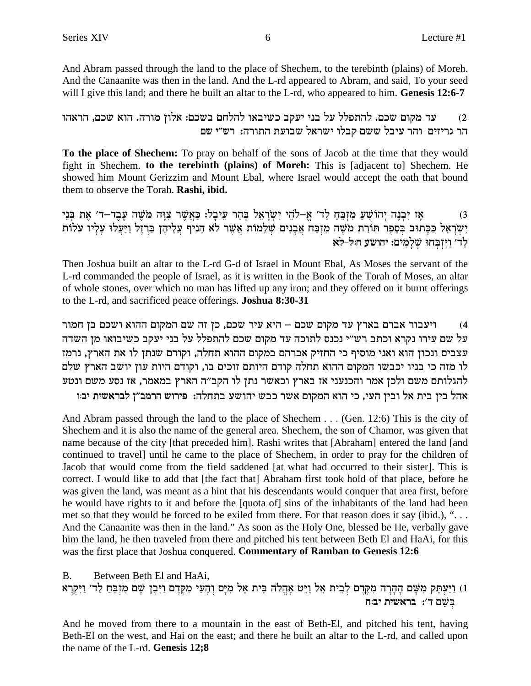And Abram passed through the land to the place of Shechem, to the terebinth (plains) of Moreh. And the Canaanite was then in the land. And the L-rd appeared to Abram, and said, To your seed will I give this land; and there he built an altar to the L-rd, who appeared to him. Genesis 12:6-7

עד מקום שכם. להתפלל על בני יעקב כשיבאו להלחם בשכם: אלון מורה. הוא שכם, הראהו  $(2)$ הר גריזים והר עיבל ששם קבלו ישראל שבועת התורה: רש"י שם

To the place of Shechem: To pray on behalf of the sons of Jacob at the time that they would fight in Shechem. to the terebinth (plains) of Moreh: This is [adjacent to] Shechem. He showed him Mount Gerizzim and Mount Ebal, where Israel would accept the oath that bound them to observe the Torah. Rashi, ibid.

אַז יִבְנֶה יְהוֹשָׁעַ מְזִבְּחַ לַד׳ אֲ–לֹהֵי יִשְׂרָאֵל בִּהָר עֵיבָל: כַּאֲשֶׁר צַוָּה מֹשֶׁה עַבֵד–ד׳ אֶת בְּנֵי  $(3)$ יִשְׂרָאֵל כַּבְּתוּב בְּסֵפֶר תּוֹרַת מֹשֶׁה מִזְבַּח אֲבָנִים שְׁלֵמוֹת אֲשֶׁר לֹא הֵנִיף עֲלֵיהֶן בַּרְזֶל וַיַּעֲלוּ עָלָיו עֹלוֹת<br>לַד׳ וַיִּזְבְחוּ שְׁלָמִים: יהושע חּל-לֹא

Then Joshua built an altar to the L-rd G-d of Israel in Mount Ebal, As Moses the servant of the L-rd commanded the people of Israel, as it is written in the Book of the Torah of Moses, an altar of whole stones, over which no man has lifted up any iron; and they offered on it burnt offerings to the L-rd, and sacrificed peace offerings. Joshua 8:30-31

ויעבור אברם בארץ עד מקום שכם – היא עיר שכם, כן זה שם המקום ההוא ושכם בן חמור  $(4)$ על שם עירו נקרא וכתב רש״י נכנס לתוכה עד מקום שכם להתפלל על בני יעקב כשיבואו מן השדה עצבים ונכון הוא ואני מוסיף כי החזיק אברהם במקום ההוא תחלה, וקודם שנתן לו את הארץ, נרמז לו מזה כי בניו יכבשו המקום ההוא תחלה קודם היותם זוכים בו, וקודם היות עון יושב הארץ שלם להגלותם משם ולכן אמר והכנעני אז בארץ וכאשר נתן לו הקב״ה הארץ במאמר, אז נסע משם ונטע אהל בין בית אל ובין העי, כי הוא המקום אשר כבש יהושע בתחלה: פירוש הרמב״ן לבראשית יבוו

And Abram passed through the land to the place of Shechem . . . (Gen. 12:6) This is the city of Shechem and it is also the name of the general area. Shechem, the son of Chamor, was given that name because of the city [that preceded him]. Rashi writes that [Abraham] entered the land [and continued to travell until he came to the place of Shechem, in order to pray for the children of Jacob that would come from the field saddened [at what had occurred to their sister]. This is correct. I would like to add that [the fact that] Abraham first took hold of that place, before he was given the land, was meant as a hint that his descendants would conquer that area first, before he would have rights to it and before the [quota of] sins of the inhabitants of the land had been met so that they would be forced to be exiled from there. For that reason does it say (ibid.), "... And the Canaanite was then in the land." As soon as the Holy One, blessed be He, verbally gave him the land, he then traveled from there and pitched his tent between Beth El and HaAi, for this was the first place that Joshua conquered. Commentary of Ramban to Genesis 12:6

Between Beth El and HaAi, **B.** 1) וַיַּעְתֵּק מִשָּׁם הָהָרָה מִקֶּדֶם לְבֵית אֵל וַיֵּט אָהֲלֹה בֵּית אֵל מִיָּם וְהָעַי מִקֶּדֶם וַיִּבֶץ שָׁם מִזְבֵּחַ לַד׳ וַיִּקְרָא בשם ד': בראשית יב:ח

And he moved from there to a mountain in the east of Beth-El, and pitched his tent, having Beth-El on the west, and Hai on the east; and there he built an altar to the L-rd, and called upon the name of the L-rd. Genesis 12;8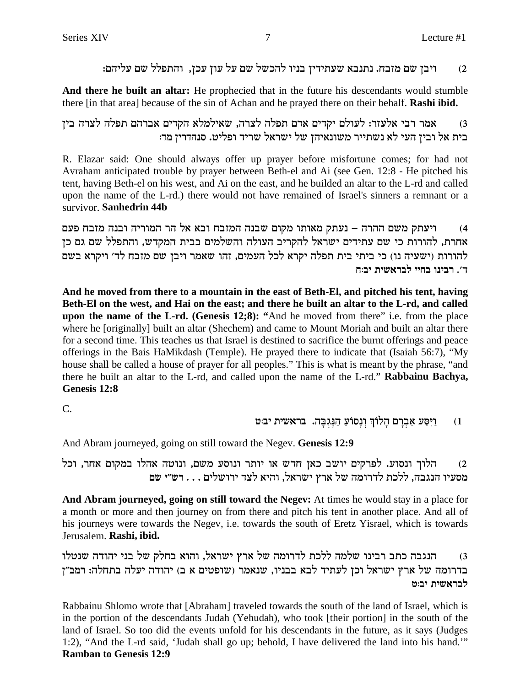ויבן שם מזבח. נתנבא שעתידין בניו להכשל שם על עון עכן, והתפלל שם עליהם:  $(2)$ 

And there he built an altar: He prophecied that in the future his descendants would stumble there [in that area] because of the sin of Achan and he prayed there on their behalf. Rashi ibid.

אמר רבי אלעזר: לעולם יקדים אדם תפלה לצרה, שאילמלא הקדים אברהם תפלה לצרה בין  $(3)$ בית אל ובין העי לא נשתייר משונאיהן של ישראל שריד ופליט. סנהדרין מד:

R. Elazar said: One should always offer up prayer before misfortune comes; for had not Avraham anticipated trouble by prayer between Beth-el and Ai (see Gen. 12:8 - He pitched his tent, having Beth-el on his west, and Ai on the east, and he builded an altar to the L-rd and called upon the name of the L-rd.) there would not have remained of Israel's sinners a remnant or a survivor. Sanhedrin 44b

ויעתק משם ההרה – נעתק מאותו מקום שבנה המזבח ובא אל הר המוריה ובנה מזבח פעם  $(4)$ אחרת, להורות כי שם עתידים ישראל להקריב העולה והשלמים בבית המקדש, והתפלל שם גם כן להורות (ישעיה נו) כי ביתי בית תפלה יקרא לכל העמים, זהו שאמר ויבן שם מזבח לד׳ ויקרא בשם ד׳. רבינו בחיי לבראשית יב:ח

And he moved from there to a mountain in the east of Beth-El, and pitched his tent, having Beth-El on the west, and Hai on the east; and there he built an altar to the L-rd, and called upon the name of the L-rd. (Genesis 12;8): "And he moved from there" i.e. from the place where he [originally] built an altar (Shechem) and came to Mount Moriah and built an altar there for a second time. This teaches us that Israel is destined to sacrifice the burnt offerings and peace offerings in the Bais HaMikdash (Temple). He prayed there to indicate that (Isaiah 56:7), "My house shall be called a house of prayer for all peoples." This is what is meant by the phrase, "and there he built an altar to the L-rd, and called upon the name of the L-rd." Rabbainu Bachya, Genesis 12:8

 $\mathcal{C}$ .

#### וַיִּסַע אַבְרַם הַלוֹךְ וַנַסוֹעַ הַנֵּגְבָה. בראשית יב:ט  $(1)$

And Abram journeyed, going on still toward the Negev. Genesis 12:9

הלוך ונסוע. לפרקים יושב כאן חדש או יותר ונוסע משם, ונוטה אהלו במקום אחר, וכל  $(2)$ מסעיו הנגבה, ללכת לדרומה של ארץ ישראל, והיא לצד ירושלים . . . רש"י שם

And Abram journeyed, going on still toward the Negev: At times he would stay in a place for a month or more and then journey on from there and pitch his tent in another place. And all of his journeys were towards the Negev, i.e. towards the south of Eretz Yisrael, which is towards Jerusalem. Rashi, ibid.

הנגבה כתב רבינו שלמה ללכת לדרומה של ארץ ישראל, והוא בחלק של בני יהודה שנטלו  $(3)$ בדרומה של ארץ ישראל וכן לעתיד לבא בבניו, שנאמר (שופטים א ב) יהודה יעלה בתחלה: רמב"ן לבראשית יב:ט

Rabbainu Shlomo wrote that [Abraham] traveled towards the south of the land of Israel, which is in the portion of the descendants Judah (Yehudah), who took [their portion] in the south of the land of Israel. So too did the events unfold for his descendants in the future, as it says (Judges 1:2), "And the L-rd said, 'Judah shall go up; behold, I have delivered the land into his hand." **Ramban to Genesis 12:9**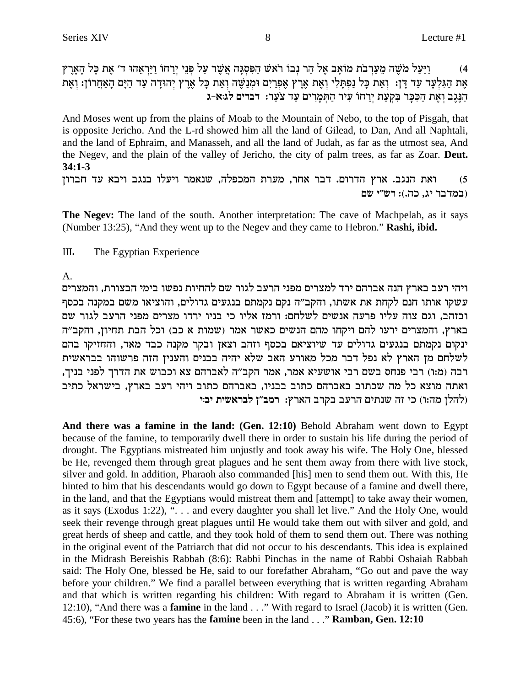וַיַּעֲל מֹשֶׁה מֵעֲרָבֹת מוֹאָב אֵל הַר נְבוֹ רֹאשׁ הַפְּסְגָּה אֲשֶׁר עַל פְּנֵי יְרֵחוֹ וַיַּרְאֶהוּ ד׳ אֶת כָּל הָאָרֶץ  $(4)$ אֶת הַגִּלְעָד עַד דָן: וְאֶת כָּל נַפְתָּלִי וְאֶת אֶרֶץ אֶפְרַיִם וּמְנַשֵּׁה וְאֶת כָּל אֲרֵץ יְהוּדָה עַד הַיָּם הָאַחֲרוֹן: וְאֵת הַנֵּגֵב וְאֶת הַכְּכֵּר בִּקְעַת יָרְחֹוֹ עִיר הַתְּמַרִים עַד צֹעֲר: דברים לג:א-ג

And Moses went up from the plains of Moab to the Mountain of Nebo, to the top of Pisgah, that is opposite Jericho. And the L-rd showed him all the land of Gilead, to Dan, And all Naphtali, and the land of Ephraim, and Manasseh, and all the land of Judah, as far as the utmost sea, And the Negev, and the plain of the valley of Jericho, the city of palm trees, as far as Zoar. Deut.  $34:1 - 3$ 

ואת הנגב. ארץ הדרום. דבר אחר, מערת המכפלה, שנאמר ויעלו בנגב ויבא עד חברון  $(5)$ (במדבר יג, כה.): רש״י שם

The Negev: The land of the south. Another interpretation: The cave of Machpelah, as it says (Number 13:25), "And they went up to the Negev and they came to Hebron." Rashi, ibid.

Ш. The Egyptian Experience

 $A<sub>1</sub>$ 

ויהי רעב בארץ הנה אברהם ירד למצרים מפני הרעב לגור שם להחיות נפשו בימי הבצורת, והמצרים עשקו אותו חנם לקחת את אשתו, והקב"ה נקם נקמתם בנגעים גדולים, והוציאו משם במקנה בכסף ובזהב, וגם צוה עליו פרעה אנשים לשלחם: ורמז אליו כי בניו ירדו מצרים מפני הרעב לגור שם בארץ, והמצרים ירעו להם ויקחו מהם הנשים כאשר אמר (שמות א כב) וכל הבת תחיון, והקב״ה ינקום נקמתם בנגעים גדולים עד שיוציאם בכסף וזהב וצאן ובקר מקנה כבד מאד, והחזיקו בהם לשלחם מז הארץ לא נפל דבר מכל מאורע האב שלא יהיה בבנים והעניז הזה פרשוהו בבראשית רבה (מ:ו) רבי פנחס בשם רבי אושעיא אמר, אמר הקב״ה לאברהם צא וכבוש את הדרך לפני בניך, ואתה מוצא כל מה שכתוב באברהם כתוב בבניו, באברהם כתוב ויהי רעב בארץ, בישראל כתיב (להלן מה:ו) כי זה שנתים הרעב בקרב הארץ: רמב"ן לבראשית יב:י

And there was a famine in the land: (Gen. 12:10) Behold Abraham went down to Egypt because of the famine, to temporarily dwell there in order to sustain his life during the period of drought. The Egyptians mistreated him unjustly and took away his wife. The Holy One, blessed be He, revenged them through great plagues and he sent them away from there with live stock, silver and gold. In addition, Pharaoh also commanded [his] men to send them out. With this, He hinted to him that his descendants would go down to Egypt because of a famine and dwell there, in the land, and that the Egyptians would mistreat them and [attempt] to take away their women, as it says (Exodus 1:22), "... and every daughter you shall let live." And the Holy One, would seek their revenge through great plagues until He would take them out with silver and gold, and great herds of sheep and cattle, and they took hold of them to send them out. There was nothing in the original event of the Patriarch that did not occur to his descendants. This idea is explained in the Midrash Bereishis Rabbah (8:6): Rabbi Pinchas in the name of Rabbi Oshaiah Rabbah said: The Holy One, blessed be He, said to our forefather Abraham, "Go out and pave the way before your children." We find a parallel between everything that is written regarding Abraham and that which is written regarding his children: With regard to Abraham it is written (Gen. 12:10), "And there was a **famine** in the land . . ." With regard to Israel (Jacob) it is written (Gen. 45:6), "For these two years has the **famine** been in the land . . ." **Ramban, Gen. 12:10**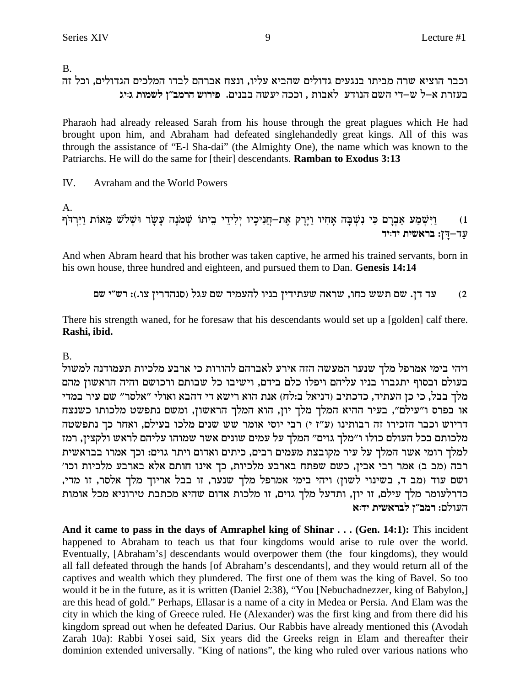B.

# וכבר הוציא שרה מביתו בנגעים גדולים שהביא עליו, ונצח אברהם לבדו המלכים הגדולים, וכל זה בעזרת א–ל ש–די השם הנודע לאבות , וככה יעשה בבנים. פירוש הרמב"ן לשמות גויג

Pharaoh had already released Sarah from his house through the great plagues which He had brought upon him, and Abraham had defeated singlehandedly great kings. All of this was through the assistance of "E-1 Sha-dai" (the Almighty One), the name which was known to the Patriarchs. He will do the same for [their] descendants. Ramban to Exodus 3:13

 $IV.$ Avraham and the World Powers

A.

```
1)<br>1) - וַיִּשְׁמַע אַבְרָם כִּי נִשְׁבָּה אָחִיו וַיָּרֶק אֶת−חֲנִיכָיו יְלִידֵי בֵיתוֹ שְׁמֹנָה עָשָׂר וּשְׁלֹשׁ מֵאוֹת וַיִּרְדֹף<br>עַד−דֶן: בראשית יד:יד
```
And when Abram heard that his brother was taken captive, he armed his trained servants, born in his own house, three hundred and eighteen, and pursued them to Dan. Genesis 14:14

עד דן. שם תשש כחו, שראה שעתידין בניו להעמיד שם עגל (סנהדרין צו.): רש"י שם  $(2)$ 

There his strength waned, for he foresaw that his descendants would set up a [golden] calf there. Rashi, ibid.

 $\mathbf{B}$ 

ויהי בימי אמרפל מלך שנער המעשה הזה אירע לאברהם להורות כי ארבע מלכיות תעמודנה למשול בעולם ובסוף יתגברו בניו עליהם ויפלו כלם בידם, וישיבו כל שבותם ורכושם והיה הראשון מהם מלך בבל, כי כן העתיד, כדכתיב (דניאל ב:לח) אנת הוא רישא די דהבא ואולי "אלסר" שם עיר במדי או בפרס ו"עילם", בעיר ההיא המלך מלך יון, הוא המלך הראשון, ומשם נתפשט מלכותו כשנצח דריוש וכבר הזכירו זה רבותינו (ע"ז י) רבי יוסי אומר שש שנים מלכו בעילם, ואחר כך נתפשטה מלכותם בכל העולם כולו ו״מלך גוים״ המלך על עמים שונים אשר שמוהו עליהם לראש ולקצין, רמז למלך רומי אשר המלך על עיר מקובצת מעמים רבים, כיתים ואדום ויתר גוים: וכך אמרו בבראשית רבה (מב ב) אמר רבי אבין, כשם שפתח בארבע מלכיות, כך אינו חותם אלא בארבע מלכיות וכו' ושם עוד (מב ד, בשינוי לשון) ויהי בימי אמרפל מלך שנער, זו בבל אריוך מלך אלסר, זו מדי, כדרלעומר מלך עילם, זו יון, ותדעל מלך גוים, זו מלכות אדום שהיא מכתבת טירוניא מכל אומות העולם: רמב״ו לבראשית יד:א

And it came to pass in the days of Amraphel king of Shinar . . . (Gen. 14:1): This incident happened to Abraham to teach us that four kingdoms would arise to rule over the world. Eventually, [Abraham's] descendants would overpower them (the four kingdoms), they would all fall defeated through the hands [of Abraham's descendants], and they would return all of the captives and wealth which they plundered. The first one of them was the king of Bavel. So too would it be in the future, as it is written (Daniel 2:38), "You [Nebuchadnezzer, king of Babylon,] are this head of gold." Perhaps, Ellasar is a name of a city in Medea or Persia. And Elam was the city in which the king of Greece ruled. He (Alexander) was the first king and from there did his kingdom spread out when he defeated Darius. Our Rabbis have already mentioned this (Avodah Zarah 10a): Rabbi Yosei said, Six years did the Greeks reign in Elam and thereafter their dominion extended universally. "King of nations", the king who ruled over various nations who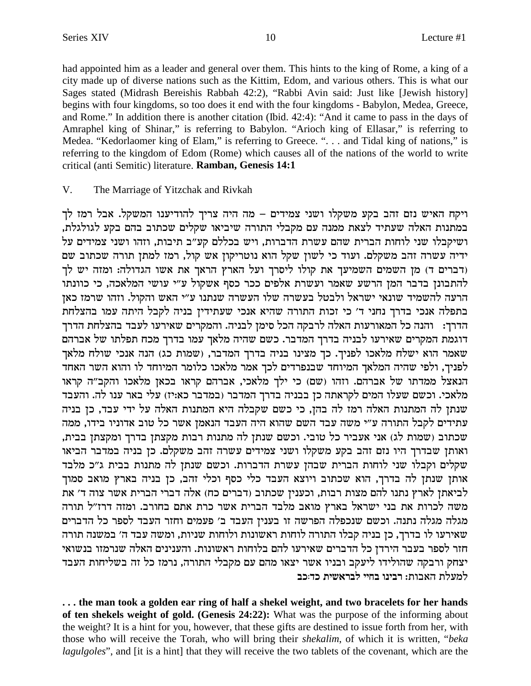had appointed him as a leader and general over them. This hints to the king of Rome, a king of a city made up of diverse nations such as the Kittim, Edom, and various others. This is what our Sages stated (Midrash Bereishis Rabbah 42:2), "Rabbi Avin said: Just like [Jewish history] begins with four kingdoms, so too does it end with the four kingdoms - Babylon, Medea, Greece, and Rome." In addition there is another citation (Ibid. 42:4): "And it came to pass in the days of Amraphel king of Shinar," is referring to Babylon. "Arioch king of Ellasar," is referring to Medea. "Kedorlaomer king of Elam," is referring to Greece. ". . . and Tidal king of nations," is referring to the kingdom of Edom (Rome) which causes all of the nations of the world to write critical (anti Semitic) literature. Ramban, Genesis 14:1

#### V. The Marriage of Yitzchak and Rivkah

ויקח האיש נזם זהב בקע משקלו ושני צמידים – מה היה צריך להודיענו המשקל. אבל רמז לך במתנות האלה שעתיד לצאת ממנה עם מקבלי התורה שיביאו שקלים שכתוב בהם בקע לגולגלת, ושיקבלו שני לוחות הברית שהם עשרת הדברות, ויש בכללם קע"ב תיבות, וזהו ושני צמידים על ידיה עשרה זהב משקלם. ועוד כי לשון שקל הוא נוטריקון אש קול, רמז למתן תורה שכתוב שם (דברים ד) מן השמים השמיעך את קולו ליסרך ועל הארץ הראך את אשו הגדולה: ומזה יש לך להתבונן בדבר המן הרשע שאמר ועשרת אלפים ככר כסף אשקול ע"י עושי המלאכה, כי כוונתו הרעה להשמיד שונאי ישראל ולבטל בעשרה שלו העשרה שנתנו ע"י האש והקול. וזהו שרמז כאן בתפלה אנכי בדרך נחני ד' כי זכות התורה שהיא אנכי שעתידין בניה לקבל היתה עמו בהצלחת הדרך: | והנה כל המאורעות האלה לרבקה הכל סימן לבניה. והמקרים שאירעו לעבד בהצלחת הדרך דוגמת המקרים שאירעו לבניה בדרך המדבר. כשם שהיה מלאך עמו בדרך מכח תפלתו של אברהם שאמר הוא ישלח מלאכו לפניך. כך מצינו בניה בדרך המדבר, (שמות כג) הנה אנכי שולח מלאך לפניך, ולפי שהיה המלאך המיוחד שבנפרדים לכך אמר מלאכו כלומר המיוחד לו והוא השר האחד .<br>הנאצל ממדתו של אברהם. וזהו (שם) כי ילך מלאכי, אברהם קראו בכאן מלאכו והקב"ה קראו מלאכי. וכשם שעלו המים לקראתה כן בבניה בדרך המדבר (במדבר כא:יז) עלי באר ענו לה. והעבד שנתן לה המתנות האלה רמז לה בהן, כי כשם שקבלה היא המתנות האלה על ידי עבד, כן בניה עתידים לקבל התורה ע"י משה עבד השם שהוא היה העבד הנאמן אשר כל טוב אדוניו בידו, ממה שכתוב (שמות לג) אני אעביר כל טובי. וכשם שנתן לה מתנות רבות מקצתן בדרך ומקצתן בבית, ואותן שבדרך היו נזם זהב בקע משקלו ושני צמידים עשרה זהב משקלם. כן בניה במדבר הביאו שקלים וקבלו שני לוחות הברית שבהן עשרת הדברות. וכשם שנתן לה מתנות בבית ג״כ מלבד אותן שנתן לה בדרך, הוא שכתוב ויוצא העבד כלי כסף וכלי זהב, כן בניה בארץ מואב סמוך לביאתן לארץ נתנו להם מצות רבות, וכענין שכתוב (דברים כח) אלה דברי הברית אשר צוה ד׳ את משה לכרות את בני ישראל בארץ מואב מלבד הברית אשר כרת אתם בחורב. ומזה דרז"ל תורה מגלה מגלה נתנה. וכשם שנכפלה הפרשה זו בענין העבד ב׳ פעמים וחזר העבד לספר כל הדברים שאירעו לו בדרך, כן בניה קבלו התורה לוחות ראשונות ולוחות שניות, ומשה עבד ה׳ במשנה תורה חזר לספר בעבר הירדן כל הדברים שאירעו להם בלוחות ראשונות. והענינים האלה שנרמזו בנשואי יצחק ורבקה שהולידו ליעקב ובניו אשר יצאו מהם עם מקבלי התורה, נרמז כל זה בשליחות העבד למעלת האבות: רבינו בחיי לבראשית כד:כב

... the man took a golden ear ring of half a shekel weight, and two bracelets for her hands of ten shekels weight of gold. (Genesis 24:22): What was the purpose of the informing about the weight? It is a hint for you, however, that these gifts are destined to issue forth from her, with those who will receive the Torah, who will bring their *shekalim*, of which it is written, "beka *lagulgoles*", and [it is a hint] that they will receive the two tablets of the covenant, which are the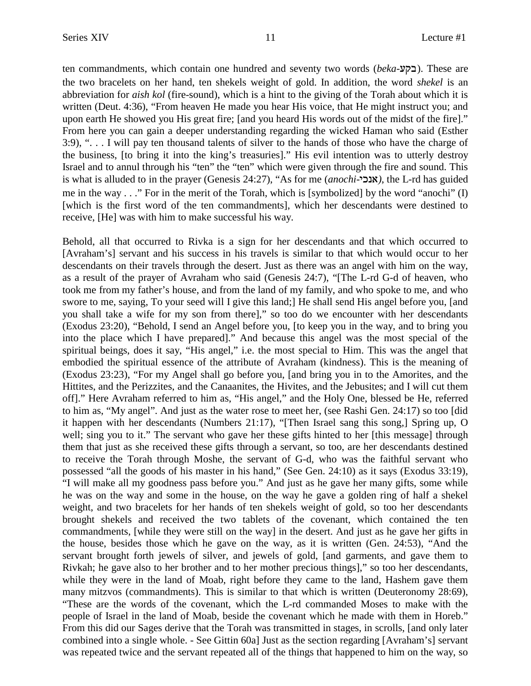ten commandments, which contain one hundred and seventy two words (*beka-***c**). These are the two bracelets on her hand, ten shekels weight of gold. In addition, the word *shekel* is an abbreviation for *aish kol* (fire-sound), which is a hint to the giving of the Torah about which it is written (Deut. 4:36), "From heaven He made you hear His voice, that He might instruct you; and upon earth He showed you His great fire; [and you heard His words out of the midst of the fire]." From here you can gain a deeper understanding regarding the wicked Haman who said (Esther 3:9), ". . . I will pay ten thousand talents of silver to the hands of those who have the charge of the business, [to bring it into the king's treasuries]." His evil intention was to utterly destroy Israel and to annul through his "ten" the "ten" which were given through the fire and sound. This is what is alluded to in the prayer (Genesis 24:27), "As for me (*anochi-*ikp`*)*, the L-rd has guided me in the way . . ." For in the merit of the Torah, which is [symbolized] by the word "anochi" (I) [which is the first word of the ten commandments], which her descendants were destined to receive, [He] was with him to make successful his way.

Behold, all that occurred to Rivka is a sign for her descendants and that which occurred to [Avraham's] servant and his success in his travels is similar to that which would occur to her descendants on their travels through the desert. Just as there was an angel with him on the way, as a result of the prayer of Avraham who said (Genesis 24:7), "[The L-rd G-d of heaven, who took me from my father's house, and from the land of my family, and who spoke to me, and who swore to me, saying, To your seed will I give this land;] He shall send His angel before you, [and you shall take a wife for my son from there]," so too do we encounter with her descendants (Exodus 23:20), "Behold, I send an Angel before you, [to keep you in the way, and to bring you into the place which I have prepared]." And because this angel was the most special of the spiritual beings, does it say, "His angel," i.e. the most special to Him. This was the angel that embodied the spiritual essence of the attribute of Avraham (kindness). This is the meaning of (Exodus 23:23), "For my Angel shall go before you, [and bring you in to the Amorites, and the Hittites, and the Perizzites, and the Canaanites, the Hivites, and the Jebusites; and I will cut them off]." Here Avraham referred to him as, "His angel," and the Holy One, blessed be He, referred to him as, "My angel". And just as the water rose to meet her, (see Rashi Gen. 24:17) so too [did it happen with her descendants (Numbers 21:17), "[Then Israel sang this song,] Spring up, O well; sing you to it." The servant who gave her these gifts hinted to her [this message] through them that just as she received these gifts through a servant, so too, are her descendants destined to receive the Torah through Moshe, the servant of G-d, who was the faithful servant who possessed "all the goods of his master in his hand," (See Gen. 24:10) as it says (Exodus 33:19), "I will make all my goodness pass before you." And just as he gave her many gifts, some while he was on the way and some in the house, on the way he gave a golden ring of half a shekel weight, and two bracelets for her hands of ten shekels weight of gold, so too her descendants brought shekels and received the two tablets of the covenant, which contained the ten commandments, [while they were still on the way] in the desert. And just as he gave her gifts in the house, besides those which he gave on the way, as it is written (Gen. 24:53), "And the servant brought forth jewels of silver, and jewels of gold, [and garments, and gave them to Rivkah; he gave also to her brother and to her mother precious things]," so too her descendants, while they were in the land of Moab, right before they came to the land, Hashem gave them many mitzvos (commandments). This is similar to that which is written (Deuteronomy 28:69), "These are the words of the covenant, which the L-rd commanded Moses to make with the people of Israel in the land of Moab, beside the covenant which he made with them in Horeb." From this did our Sages derive that the Torah was transmitted in stages, in scrolls, [and only later combined into a single whole. - See Gittin 60a] Just as the section regarding [Avraham's] servant was repeated twice and the servant repeated all of the things that happened to him on the way, so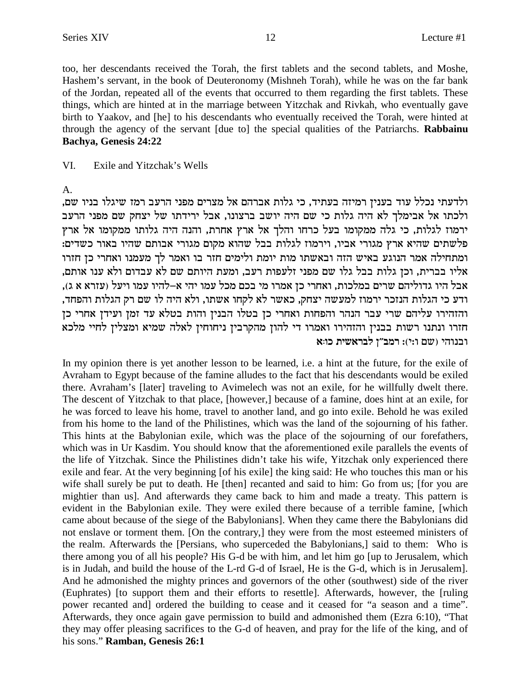too, her descendants received the Torah, the first tablets and the second tablets, and Moshe, Hashem's servant, in the book of Deuteronomy (Mishneh Torah), while he was on the far bank of the Jordan, repeated all of the events that occurred to them regarding the first tablets. These things, which are hinted at in the marriage between Yitzchak and Rivkah, who eventually gave birth to Yaakov, and [he] to his descendants who eventually received the Torah, were hinted at through the agency of the servant [due to] the special qualities of the Patriarchs. Rabbainu Bachya, Genesis 24:22

#### VI. Exile and Yitzchak's Wells

### $A<sub>1</sub>$

ולדעתי נכלל עוד בענין רמיזה בעתיד, כי גלות אברהם אל מצרים מפני הרעב רמז שיגלו בניו שם, ולכתו אל אבימלך לא היה גלות כי שם היה יושב ברצונו, אבל ירידתו של יצחק שם מפני הרעב ירמוז לגלות, כי גלה ממקומו בעל כרחו והלך אל ארץ אחרת, והנה היה גלותו ממקומו אל ארץ פלשתים שהיא ארץ מגורי אביו, וירמוז לגלות בבל שהוא מקום מגורי אבותם שהיו באור כשדים: ומתחילה אמר הנוגע באיש הזה ובאשתו מות יומת ולימים חזר בו ואמר לך מעמנו ואחרי כן חזרו אליו בברית, וכן גלות בבל גלו שם מפני זלעפות רעב, ומעת היותם שם לא עבדום ולא ענו אותם, אבל היו גדוליהם שרים במלכות, ואחרי כן אמרו מי בכם מכל עמו יהי א–להיו עמו ויעל (עזרא א ג), ודע כי הגלות הנזכר ירמוז למעשה יצחק, כאשר לא לקחו אשתו, ולא היה לו שם רק הגלות והפחד, והזהירו עליהם שרי עבר הנהר והפחות ואחרי כן בטלו הבנין והות בטלא עד זמן ועידן אחרי כן חזרו ונתנו רשות בבנין והזהירו ואמרו די להון מהקרבין ניחוחין לאלה שמיא ומצלין לחיי מלכא ובנוהי (שם ו:י): רמב"ן לבראשית כו:א

In my opinion there is yet another lesson to be learned, i.e. a hint at the future, for the exile of Avraham to Egypt because of the famine alludes to the fact that his descendants would be exiled there. Avraham's [later] traveling to Avimelech was not an exile, for he willfully dwelt there. The descent of Yitzchak to that place, [however,] because of a famine, does hint at an exile, for he was forced to leave his home, travel to another land, and go into exile. Behold he was exiled from his home to the land of the Philistines, which was the land of the sojourning of his father. This hints at the Babylonian exile, which was the place of the sojourning of our forefathers, which was in Ur Kasdim. You should know that the aforementioned exile parallels the events of the life of Yitzchak. Since the Philistines didn't take his wife, Yitzchak only experienced there exile and fear. At the very beginning [of his exile] the king said: He who touches this man or his wife shall surely be put to death. He [then] recanted and said to him: Go from us; [for you are mightier than us]. And afterwards they came back to him and made a treaty. This pattern is evident in the Babylonian exile. They were exiled there because of a terrible famine, [which came about because of the siege of the Babylonians]. When they came there the Babylonians did not enslave or torment them. [On the contrary,] they were from the most esteemed ministers of the realm. Afterwards the [Persians, who superceded the Babylonians,] said to them: Who is there among you of all his people? His G-d be with him, and let him go [up to Jerusalem, which is in Judah, and build the house of the L-rd G-d of Israel, He is the G-d, which is in Jerusalem]. And he admonished the mighty princes and governors of the other (southwest) side of the river (Euphrates) [to support them and their efforts to resettle]. Afterwards, however, the [ruling] power recanted and] ordered the building to cease and it ceased for "a season and a time". Afterwards, they once again gave permission to build and admonished them (Ezra 6:10), "That they may offer pleasing sacrifices to the G-d of heaven, and pray for the life of the king, and of his sons." Ramban, Genesis 26:1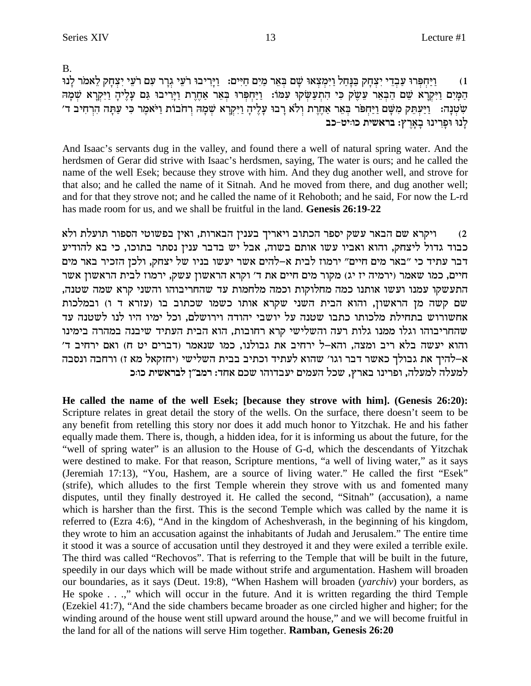B.

וַיַּחִפְּרוּ עַבְדֵי יִצְחַק בַּנַּחֲל וַיִּמְצָאוּ שֵׁם בִּאֵר מֵיִם חַיִּים: וַיַּרִיבוּ רֹעֵי גָרַר עָם רֹעֵי יִצְחַק לֵאמֹר לַנוּ  $(1)$ המים ויקרא שם הבאר עשק כי התעשקו עמו: ויחפרו באר אחרת ויריבו גם עליה ויקרא שמה שְׂטְנָה: וַיַּעְתֵּק מְשָׁם וַיַּחְפֹּר בְּאֵר אַחֱרֶת וְלֹא רַבוּ עָלֵיהָ וַיִּקְרָא שְׁמַהּ רְחֹבוֹת וַיֹּאמֶר כִּי עַתַּה הִרְחִיב ד׳ לנו ופרינו בארץ: בראשית כוויט-כב

And Isaac's servants dug in the valley, and found there a well of natural spring water. And the herdsmen of Gerar did strive with Isaac's herdsmen, saying, The water is ours; and he called the name of the well Esek; because they strove with him. And they dug another well, and strove for that also; and he called the name of it Sitnah. And he moved from there, and dug another well; and for that they strove not; and he called the name of it Rehoboth; and he said, For now the L-rd has made room for us, and we shall be fruitful in the land. Genesis 26:19-22

ויקרא שם הבאר עשק יספר הכתוב ויאריך בענין הבארות, ואין בפשוטי הספור תועלת ולא  $(2)$ כבוד גדול ליצחק, והוא ואביו עשו אותם בשוה, אבל יש בדבר ענין נסתר בתוכו, כי בא להודיע דבר עתיד כי "באר מים חיים" ירמוז לבית א-להים אשר יעשו בניו של יצחק, ולכן הזכיר באר מים חיים, כמו שאמר (ירמיה יז יג) מקור מים חיים את ד' וקרא הראשון עשק, ירמוז לבית הראשון אשר התעשקו עמנו ועשו אותנו כמה מחלוקות וכמה מלחמות עד שהחריבוהו והשני קרא שמה שטנה, שם קשה מן הראשון, והוא הבית השני שקרא אותו כשמו שכתוב בו (עזרא ד ו) ובמלכות אחשורוש בתחילת מלכותו כתבו שטנה על יושבי יהודה וירושלם, וכל ימיו היו לנו לשטנה עד שהחריבוהו וגלו ממנו גלות רעה והשלישי קרא רחובות, הוא הבית העתיד שיבנה במהרה בימינו והוא יעשה בלא ריב ומצה, והא–ל ירחיב את גבולנו, כמו שנאמר (דברים יט ח) ואם ירחיב ד' א–להיך את גבולך כאשר דבר וגו׳ שהוא לעתיד וכתיב בבית השלישי (יחזקאל מא ז) ורחבה ונסבה למעלה למעלה, ופרינו בארץ, שכל העמים יעבדוהו שכם אחד: רמב"ן לבראשית כו:כ

He called the name of the well Esek; [because they strove with him]. (Genesis 26:20): Scripture relates in great detail the story of the wells. On the surface, there doesn't seem to be any benefit from retelling this story nor does it add much honor to Yitzchak. He and his father equally made them. There is, though, a hidden idea, for it is informing us about the future, for the "well of spring water" is an allusion to the House of G-d, which the descendants of Yitzchak were destined to make. For that reason, Scripture mentions, "a well of living water," as it says (Jeremiah 17:13), "You, Hashem, are a source of living water." He called the first "Esek" (strife), which alludes to the first Temple wherein they strove with us and fomented many disputes, until they finally destroyed it. He called the second, "Sitnah" (accusation), a name which is harsher than the first. This is the second Temple which was called by the name it is referred to (Ezra 4:6), "And in the kingdom of Acheshverash, in the beginning of his kingdom, they wrote to him an accusation against the inhabitants of Judah and Jerusalem." The entire time it stood it was a source of accusation until they destroyed it and they were exiled a terrible exile. The third was called "Rechovos". That is referring to the Temple that will be built in the future, speedily in our days which will be made without strife and argumentation. Hashem will broaden our boundaries, as it says (Deut. 19:8), "When Hashem will broaden (yarchiv) your borders, as He spoke . . .," which will occur in the future. And it is written regarding the third Temple (Ezekiel 41:7), "And the side chambers became broader as one circled higher and higher; for the winding around of the house went still upward around the house," and we will become fruitful in the land for all of the nations will serve Him together. Ramban, Genesis 26:20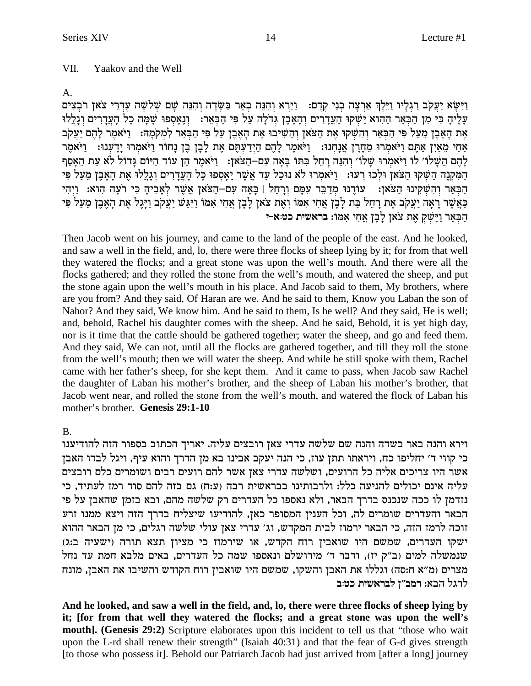$\mathsf{A}$ .

וַיִּשָׂא יַעֲקֹב רַגְלַיו וַיֵּלֵךְ אַרְצָה בְנֵי קָדֶם: - וַיַּרָא וְהִנָּה בְאֵר בַּשָּׂדֶה וְהִנֶּה שָׁם שָׁלֹשָׁה עָדְרֵי צֹאן רֹבְצִים עליה כי מן הבאר ההוא ישקו העדרים והאבן גדלה על פי הבאר: נואספו שמה כל העדרים וגללו את האבן מעל פי הבאר והשקו את הצאן והשיבו את האבן על פי הבאר למקמה: [יֹאמר להם יַעֲקֹב אַחִי מַאַיִן אַתֵּם וַיֹּאמִרוּ מֵחַרַן אֲנַחִנוּ: וַיֹּאמֵר לַהֶם הַיִּדְעַתֵּם אֶת לַבָן בֵּן נַחוֹר וַיֹּאמִרוּ יַדֲעִנוּ: וַיֹּאמֵר לַהֵם הַשַּׁלוֹ׳ לוֹ וַיֹּאמרוּ שַׁלוֹ׳ וְהִנֵּה רַחַל בִּתּוֹ בַּאָה עָם–הַצֹּאזָ: [וִיֹּאמַר הַן עוֹד הַיּוֹם גַּדוֹל לֹא עַת הָאַסַף .<br>המקנה השקו הצאן ולכו רעו: ויאמרו לא נוכל עד אשר יאספו כל העדרים וגללו את האבן מעל פי הַבֹּאֹר והשקינו הַצֹּאז: | עוֹדְנוּ מַדַבְּר עִמַּם וְרַחָל | בַּאַה עַם–הַצֹּאז אַשֶׁר לְאַבִיה כִּי רעַה הוא: וַיְהִי כַּאֲשֶׁר רָאָה יַעֲקִב אֶת רָחֵל כַּת לָבָן אֲחִי אִמּוֹ וְאֵת צֹאן לָבָן אֲחִי אִמּוֹ וַיִּגַּשׁ יַעֲקֹב וַיָּגֵל אֶת הָאֵבֵן מֵעַל פִּי הַבְאֵר וַיַּשׁקְ אֶת צֹאַן לַבָן אֲחִי אָמּוֹ: בראשית כט:א-י

Then Jacob went on his journey, and came to the land of the people of the east. And he looked, and saw a well in the field, and, lo, there were three flocks of sheep lying by it; for from that well they watered the flocks; and a great stone was upon the well's mouth. And there were all the flocks gathered; and they rolled the stone from the well's mouth, and watered the sheep, and put the stone again upon the well's mouth in his place. And Jacob said to them, My brothers, where are you from? And they said, Of Haran are we. And he said to them, Know you Laban the son of Nahor? And they said, We know him. And he said to them, Is he well? And they said, He is well; and, behold, Rachel his daughter comes with the sheep. And he said, Behold, it is yet high day, nor is it time that the cattle should be gathered together; water the sheep, and go and feed them. And they said, We can not, until all the flocks are gathered together, and till they roll the stone from the well's mouth; then we will water the sheep. And while he still spoke with them, Rachel came with her father's sheep, for she kept them. And it came to pass, when Jacob saw Rachel the daughter of Laban his mother's brother, and the sheep of Laban his mother's brother, that Jacob went near, and rolled the stone from the well's mouth, and watered the flock of Laban his mother's brother. Genesis 29:1-10

 $\mathbf{B}$ .

וירא והנה באר בשדה והנה שם שלשה עדרי צאן רובצים עליה. יאריך הכתוב בספור הזה להודיענו כי קווי ד׳ יחליפו כח, ויראתו תתן עוז, כי הנה יעקב אבינו בא מן הדרך והוא עיף, ויגל לבדו האבן אשר היו צריכים אליה כל הרועים, ושלשה עדרי צאן אשר להם רועים רבים ושומרים כלם רובצים עליה אינם יכולים להניעה כלל: ולרבותינו בבראשית רבה (ע:ח) גם בזה להם סוד רמז לעתיד, כי נזדמן לו ככה שנכנס בדרך הבאר, ולא נאספו כל העדרים רק שלשה מהם, ובא בזמן שהאבן על פי הבאר והעדרים שומרים לה, וכל הענין המסופר כאן, להודיעו שיצליח בדרך הזה ויצא ממנו זרע זוכה לרמז הזה, כי הבאר ירמוז לבית המקדש, וג׳ עדרי צאן עולי שלשה רגלים, כי מן הבאר ההוא ישקו העדרים, שמשם היו שואבין רוח הקדש, או שירמוז כי מציון תצא תורה (ישעיה ב:ג) שנמשלה למים (ב"ק יז), ודבר ד' מירושלם ונאספו שמה כל העדרים, באים מלבא חמת עד נחל מצרים (מ״א ח:סה) וגללו את האבן והשקו, שמשם היו שואבין רוח הקודש והשיבו את האבן, מונח לרגל הבא: רמב"ז לבראשית כטוב

And he looked, and saw a well in the field, and, lo, there were three flocks of sheep lying by it; [for from that well they watered the flocks; and a great stone was upon the well's mouth]. (Genesis 29:2) Scripture elaborates upon this incident to tell us that "those who wait upon the L-rd shall renew their strength" (Isaiah 40:31) and that the fear of G-d gives strength [to those who possess it]. Behold our Patriarch Jacob had just arrived from [after a long] journey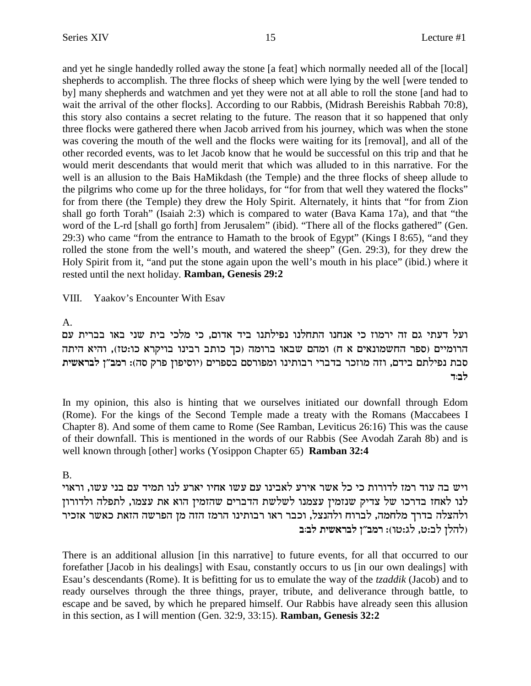and yet he single handedly rolled away the stone [a feat] which normally needed all of the [local] shepherds to accomplish. The three flocks of sheep which were lying by the well [were tended to by] many shepherds and watchmen and yet they were not at all able to roll the stone [and had to wait the arrival of the other flocks]. According to our Rabbis, (Midrash Bereishis Rabbah 70:8), this story also contains a secret relating to the future. The reason that it so happened that only three flocks were gathered there when Jacob arrived from his journey, which was when the stone was covering the mouth of the well and the flocks were waiting for its [removal], and all of the other recorded events, was to let Jacob know that he would be successful on this trip and that he would merit descendants that would merit that which was alluded to in this narrative. For the well is an allusion to the Bais HaMikdash (the Temple) and the three flocks of sheep allude to the pilgrims who come up for the three holidays, for "for from that well they watered the flocks" for from there (the Temple) they drew the Holy Spirit. Alternately, it hints that "for from Zion shall go forth Torah" (Isaiah 2:3) which is compared to water (Bava Kama 17a), and that "the word of the L-rd [shall go forth] from Jerusalem" (ibid). "There all of the flocks gathered" (Gen. 29:3) who came "from the entrance to Hamath to the brook of Egypt" (Kings I 8:65), "and they rolled the stone from the well's mouth, and watered the sheep" (Gen. 29:3), for they drew the Holy Spirit from it, "and put the stone again upon the well's mouth in his place" (ibid.) where it rested until the next holiday. **Ramban, Genesis 29:2**

VIII. Yaakov's Encounter With Esav

### A.

ועל דעתי גם זה ירמוז כי אנחנו התחלנו נפילתנו ביד אדום, כי מלכי בית שני באו בברית עם הרומיים (ספר החשמונאים א ח) ומהם שבאו ברומה (כך כותב רבינו בויקרא כו:טז), והיא היתה סבת נפילתם בידם, וזה מוזכר בדברי רבותינו ומפורסם בספרים (יוסיפון פרק סה): רמב״ן לבראשית **c:al**

In my opinion, this also is hinting that we ourselves initiated our downfall through Edom (Rome). For the kings of the Second Temple made a treaty with the Romans (Maccabees I Chapter 8). And some of them came to Rome (See Ramban, Leviticus 26:16) This was the cause of their downfall. This is mentioned in the words of our Rabbis (See Avodah Zarah 8b) and is well known through [other] works (Yosippon Chapter 65) **Ramban 32:4**

### B.

ויש בה עוד רמז לדורות כי כל אשר אירע לאבינו עם עשו אחיו יארע לנו תמיד עם בני עשו, וראוי לנו לאחז בדרכו של צדיק שנזמין עצמנו לשלשת הדברים שהזמין הוא את עצמו, לתפלה ולדורוז ולהצלה בדרך מלחמה, לברוח ולהנצל, וכבר ראו רבותינו הרמז הזה מן הפרשה הזאת כאשר אזכיר **A** ולהלן לב:ט, לג:טו): רמב״ן לבראשית לב:ב

There is an additional allusion [in this narrative] to future events, for all that occurred to our forefather [Jacob in his dealings] with Esau, constantly occurs to us [in our own dealings] with Esau's descendants (Rome). It is befitting for us to emulate the way of the *tzaddik* (Jacob) and to ready ourselves through the three things, prayer, tribute, and deliverance through battle, to escape and be saved, by which he prepared himself. Our Rabbis have already seen this allusion in this section, as I will mention (Gen. 32:9, 33:15). **Ramban, Genesis 32:2**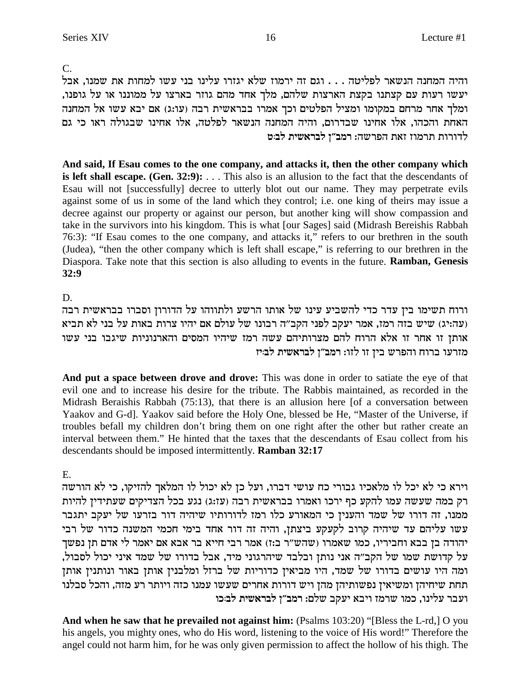$C_{\cdot}$ 

והיה המחנה הנשאר לפליטה . . . וגם זה ירמוז שלא יגזרו עלינו בני עשו למחות את שמנו, אבל יעשו רעות עם קצתנו בקצת הארצות שלהם, מלך אחד מהם גוזר בארצו על ממוננו או על גופנו, ומלך אחר מרחם במקומו ומציל הפלטים וכך אמרו בבראשית רבה (עו:ג) אם יבא עשו אל המחנה האחת והכהו, אלו אחינו שבדרום, והיה המחנה הנשאר לפלטה, אלו אחינו שבגולה ראו כי גם לדורות תרמוז זאת הפרשה: רמב"ן לבראשית לב:ט

And said, If Esau comes to the one company, and attacks it, then the other company which is left shall escape. (Gen.  $32:9$ ):  $\dots$  This also is an allusion to the fact that the descendants of Esau will not [successfully] decree to utterly blot out our name. They may perpetrate evils against some of us in some of the land which they control; i.e. one king of theirs may issue a decree against our property or against our person, but another king will show compassion and take in the survivors into his kingdom. This is what [our Sages] said (Midrash Bereishis Rabbah 76:3): "If Esau comes to the one company, and attacks it," refers to our brethren in the south (Judea), "then the other company which is left shall escape," is referring to our brethren in the Diaspora. Take note that this section is also alluding to events in the future. Ramban, Genesis  $32:9$ 

D.

ורוח תשימו בין עדר כדי להשביע עינו של אותו הרשע ולתווהו על הדורון וסברו בבראשית רבה (עה:יג) שיש בזה רמז, אמר יעקב לפני הקב"ה רבונו של עולם אם יהיו צרות באות על בני לא תביא אותן זו אחר זו אלא הרוח להם מצרותיהם עשה רמז שיהיו המסים והארנוניות שיגבו בני עשו מזרעו ברוח והפרש בין זו לזו: רמב"ן לבראשית לב:יז

And put a space between drove and drove: This was done in order to satiate the eye of that evil one and to increase his desire for the tribute. The Rabbis maintained, as recorded in the Midrash Beraishis Rabbah (75:13), that there is an allusion here [of a conversation between Yaakov and G-d]. Yaakov said before the Holy One, blessed be He, "Master of the Universe, if troubles befall my children don't bring them on one right after the other but rather create an interval between them." He hinted that the taxes that the descendants of Esau collect from his descendants should be imposed intermittently. Ramban 32:17

E.

וירא כי לא יכל לו מלאכיו גבורי כח עושי דברו, ועל כן לא יכול לו המלאך להזיקו, כי לא הורשה רק במה שעשה עמו להקע כף ירכו ואמרו בבראשית רבה (עז:ג) נגע בכל הצדיקים שעתידין להיות ממנו, זה דורו של שמד והענין כי המאורע כלו רמז לדורותיו שיהיה דור בזרעו של יעקב יתגבר עשו עליהם עד שיהיה קרוב לקעקע ביצתן, והיה זה דור אחד בימי חכמי המשנה כדור של רבי יהודה בן בבא וחביריו, כמו שאמרו (שהש"ר ב:ז) אמר רבי חייא בר אבא אם יאמר לי אדם תן נפשך על קדושת שמו של הקב"ה אני נותן ובלבד שיהרגוני מיד, אבל בדורו של שמד איני יכול לסבול, ומה היו עושים בדורו של שמד, היו מביאין כדוריות של ברזל ומלבנין אותן באור ונותנין אותן תחת שיחיהן ומשיאין נפשותיהן מהן ויש דורות אחרים שעשו עמנו כזה ויותר רע מזה, והכל סבלנו ועבר עלינו, כמו שרמז ויבא יעקב שלם: רמב"ן לבראשית לב:כו

And when he saw that he prevailed not against him: (Psalms 103:20) "[Bless the L-rd,] O you his angels, you mighty ones, who do His word, listening to the voice of His word!" Therefore the angel could not harm him, for he was only given permission to affect the hollow of his thigh. The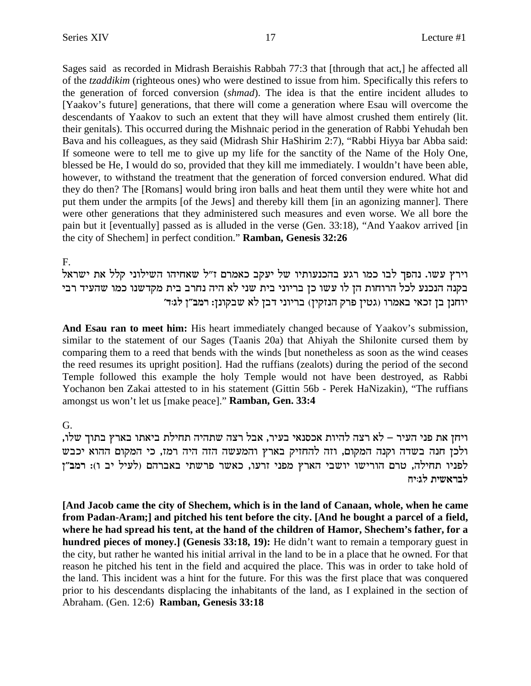Sages said as recorded in Midrash Beraishis Rabbah 77:3 that [through that act,] he affected all of the *tzaddikim* (righteous ones) who were destined to issue from him. Specifically this refers to the generation of forced conversion (*shmad*). The idea is that the entire incident alludes to [Yaakov's future] generations, that there will come a generation where Esau will overcome the descendants of Yaakov to such an extent that they will have almost crushed them entirely (lit. their genitals). This occurred during the Mishnaic period in the generation of Rabbi Yehudah ben Bava and his colleagues, as they said (Midrash Shir HaShirim 2:7), "Rabbi Hiyya bar Abba said: If someone were to tell me to give up my life for the sanctity of the Name of the Holy One, blessed be He, I would do so, provided that they kill me immediately. I wouldn't have been able, however, to withstand the treatment that the generation of forced conversion endured. What did they do then? The [Romans] would bring iron balls and heat them until they were white hot and put them under the armpits [of the Jews] and thereby kill them [in an agonizing manner]. There were other generations that they administered such measures and even worse. We all bore the pain but it [eventually] passed as is alluded in the verse (Gen. 33:18), "And Yaakov arrived [in the city of Shechem] in perfect condition."**Ramban, Genesis 32:26**

F.

וירץ עשו. נהפך לבו כמו רגע בהכנעותיו של יעקב כאמרם ז"ל שאחיהו השילוני קלל את ישראל בקנה הנכנע לכל הרוחות הן לו עשו כן בריוני בית שני לא היה נחרב בית מקדשנו כמו שהעיד רבי יוחנן בן זכאי באמרו (גטין פרק הנזקין) בריוני דבן לא שבקונן: רמב"ן לג:ד'

**And Esau ran to meet him:** His heart immediately changed because of Yaakov's submission, similar to the statement of our Sages (Taanis 20a) that Ahiyah the Shilonite cursed them by comparing them to a reed that bends with the winds [but nonetheless as soon as the wind ceases the reed resumes its upright position]. Had the ruffians (zealots) during the period of the second Temple followed this example the holy Temple would not have been destroyed, as Rabbi Yochanon ben Zakai attested to in his statement (Gittin 56b - Perek HaNizakin), "The ruffians amongst us won't let us [make peace]."**Ramban, Gen. 33:4**

### G.

, ויחן את פני העיר – לא רצה להיות אכסנאי בעיר, אבל רצה שתהיה תחילת ביאתו בארץ בתוך שלו ולכן חנה בשדה וקנה המקום, וזה להחזיק בארץ והמעשה הזה היה רמז, כי המקום ההוא יכבש לפניו תחילה, טרם הורישו יושבי הארץ מפני זרעו, כאשר פרשתי באברהם (לעיל יב ו): רמב"ן **לבראשית לג**ויח

**[And Jacob came the city of Shechem, which is in the land of Canaan, whole, when he came from Padan-Aram;] and pitched his tent before the city. [And he bought a parcel of a field, where he had spread his tent, at the hand of the children of Hamor, Shechem's father, for a hundred pieces of money.] (Genesis 33:18, 19):** He didn't want to remain a temporary guest in the city, but rather he wanted his initial arrival in the land to be in a place that he owned. For that reason he pitched his tent in the field and acquired the place. This was in order to take hold of the land. This incident was a hint for the future. For this was the first place that was conquered prior to his descendants displacing the inhabitants of the land, as I explained in the section of Abraham. (Gen. 12:6) **Ramban, Genesis 33:18**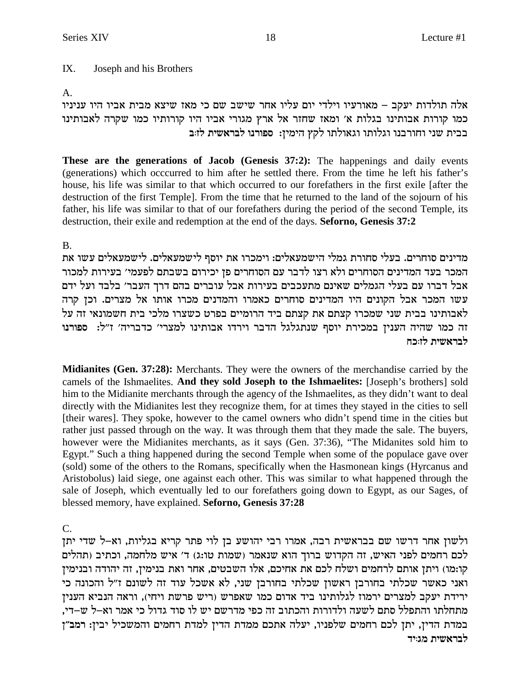#### $IX.$ Joseph and his Brothers

### $A_{1}$

אלה תולדות יעקב – מאורעיו וילדי יום עליו אחר שישב שם כי מאז שיצא מבית אביו היו עניניו כמו קורות אבותינו בגלות א׳ ומאז שחזר אל ארץ מגורי אביו היו קורותיו כמו שקרה לאבותינו בבית שני וחורבנו וגלותו וגאולתו לקץ הימין: ספורנו לבראשית לז:ב

These are the generations of Jacob (Genesis 37:2): The happenings and daily events (generations) which occcurred to him after he settled there. From the time he left his father's house, his life was similar to that which occurred to our forefathers in the first exile [after the destruction of the first Temple]. From the time that he returned to the land of the sojourn of his father, his life was similar to that of our forefathers during the period of the second Temple, its destruction, their exile and redemption at the end of the days. Seformo, Genesis 37:2

### $\mathbf{B}$

מדינים סוחרים. בעלי סחורת גמלי הישמעאלים: וימכרו את יוסף לישמעאלים. לישמעאלים עשו את .<br>המכר בעד המדינים הסוחרים ולא רצו לדבר עם הסוחרים פן יכירום בשבתם לפעמי׳ בעירות למכור אבל דברו עם בעלי הגמלים שאינם מתעכבים בעירות אבל עוברים בהם דרך העבר׳ בלבד ועל ידם עשו המכר אבל הקונים היו המדינים סוחרים כאמרו והמדנים מכרו אותו אל מצרים. וכן קרה לאבותינו בבית שני שמכרו קצתם את קצתם ביד הרומיים בפרט כשצרו מלכי בית חשמונאי זה על זה כמו שהיה הענין במכירת יוסף שנתגלגל הדבר וירדו אבותינו למצרי' כדבריה' ז"ל: ספורנו לבראשית לז:כח

**Midianites (Gen. 37:28):** Merchants. They were the owners of the merchandise carried by the camels of the Ishmaelites. And they sold Joseph to the Ishmaelites: [Joseph's brothers] sold him to the Midianite merchants through the agency of the Ishmaelites, as they didn't want to deal directly with the Midianites lest they recognize them, for at times they stayed in the cities to sell [their wares]. They spoke, however to the camel owners who didn't spend time in the cities but rather just passed through on the way. It was through them that they made the sale. The buyers, however were the Midianites merchants, as it says (Gen. 37:36), "The Midanites sold him to Egypt." Such a thing happened during the second Temple when some of the populace gave over (sold) some of the others to the Romans, specifically when the Hasmonean kings (Hyrcanus and Aristobolus) laid siege, one against each other. This was similar to what happened through the sale of Joseph, which eventually led to our forefathers going down to Egypt, as our Sages, of blessed memory, have explained. Seforno, Genesis 37:28

 $C_{\cdot}$ 

ולשון אחר דרשו שם בבראשית רבה, אמרו רבי יהושע בן לוי פתר קריא בגליות, וא-ל שדי יתן לכם רחמים לפני האיש, זה הקדוש ברוך הוא שנאמר (שמות טו:ג) ד׳ איש מלחמה, וכתיב (תהלים קו:מו) ויתן אותם לרחמים ושלח לכם את אחיכם, אלו השבטים, אחר ואת בנימין, זה יהודה ובנימין ואני כאשר שכלתי בחורבן ראשון שכלתי בחורבן שני, לא אשכל עוד זה לשונם ז"ל והכונה כי ירידת יעקב למצרים ירמוז לגלותינו ביד אדום כמו שאפרש (ריש פרשת ויחי), וראה הנביא הענין מתחלתו והתפלל סתם לשעה ולדורות והכתוב זה כפי מדרשם יש לו סוד גדול כי אמר וא–ל ש–די. במדת הדין, יתן לכם רחמים שלפניו, יעלה אתכם ממדת הדין למדת רחמים והמשכיל יבין: רמב"ן לבראשית מג:יד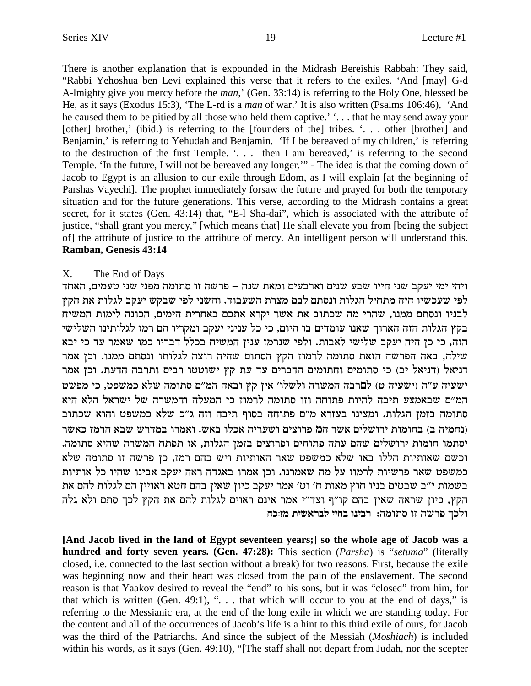There is another explanation that is expounded in the Midrash Bereishis Rabbah: They said, "Rabbi Yehoshua ben Levi explained this verse that it refers to the exiles. 'And [may] G-d A-lmighty give you mercy before the *man*,' (Gen. 33:14) is referring to the Holy One, blessed be He, as it says (Exodus 15:3), 'The L-rd is a man of war.' It is also written (Psalms 106:46), 'And he caused them to be pitied by all those who held them captive.' '... that he may send away your [other] brother,' (ibid.) is referring to the [founders of the] tribes. '... other [brother] and Benjamin,' is referring to Yehudah and Benjamin. 'If I be bereaved of my children,' is referring to the destruction of the first Temple. '... then I am bereaved,' is referring to the second Temple. 'In the future, I will not be bereaved any longer.'" - The idea is that the coming down of Jacob to Egypt is an allusion to our exile through Edom, as I will explain [at the beginning of Parshas Vayechi]. The prophet immediately forsaw the future and prayed for both the temporary situation and for the future generations. This verse, according to the Midrash contains a great secret, for it states (Gen. 43:14) that, "E-1 Sha-dai", which is associated with the attribute of justice, "shall grant you mercy," [which means that] He shall elevate you from [being the subject of] the attribute of justice to the attribute of mercy. An intelligent person will understand this. Ramban, Genesis 43:14

#### $X_{-}$ The End of Days

ויהי ימי יעקב שני חייו שבע שנים וארבעים ומאת שנה – פרשה זו סתומה מפני שני טעמים, האחד לפי שעכשיו היה מתחיל הגלות ונסתם לבם מצרת השעבוד. והשני לפי שבקש יעקב לגלות את הקץ .<br>לבניו ונסתם ממנו, שהרי מה שכתוב את אשר יקרא אתכם באחרית הימים, הכונה לימות המשיח בקץ הגלות הזה הארוך שאנו עומדים בו היום, כי כל עניני יעקב ומקריו הם רמז לגלותינו השלישי הזה, כי כן היה יעקב שלישי לאבות. ולפי שנרמז ענין המשיח בכלל דבריו כמו שאמר עד כי יבא שילה, באה הפרשה הזאת סתומה לרמוז הקץ הסתום שהיה רוצה לגלותו ונסתם ממנו. וכן אמר דניאל (דניאל יב) כי סתומים וחתומים הדברים עד עת קץ ישוטטו רבים ותרבה הדעת. וכן אמר ישעיה ע"ה (ישעיה ט) לםרבה המשרה ולשלו' אין קץ ובאה המ"ם סתומה שלא כמשפט, כי מפשט המ"ם שבאמצע תיבה להיות פתוחה וזו סתומה לרמוז כי המעלה והמשרה של ישראל הלא היא סתומה בזמן הגלות. ומצינו בעזרא מ"ם פתוחה בסוף תיבה וזה ג"כ שלא כמשפט והוא שכתוב (נחמיה ב) בחומות ירושלים אשר המ פרוצים ושעריה אכלו באש. ואמרו במדרש שבא הרמז כאשר יסתמו חומות ירושלים שהם עתה פתוחים ופרוצים בזמן הגלות, אז תפתח המשרה שהיא סתומה. וכשם שאותיות הללו באו שלא כמשפט שאר האותיות ויש בהם רמז, כן פרשה זו סתומה שלא כמשפט שאר פרשיות לרמוז על מה שאמרנו. וכן אמרו באגדה ראה יעקב אבינו שהיו כל אותיות בשמות י"ב שבטים בניו חוץ מאות ח' וט' אמר יעקב כיון שאין בהם חטא ראויין הם לגלות להם את הקץ, כיון שראה שאין בהם קו"ף וצד"י אמר אינם ראוים לגלות להם את הקץ לכך סתם ולא גלה ולכך פרשה זו סתומה: רבינו בחיי לבראשית מזוכח

[And Jacob lived in the land of Egypt seventeen years;] so the whole age of Jacob was a hundred and forty seven years. (Gen. 47:28): This section (Parsha) is "setuma" (literally closed, i.e. connected to the last section without a break) for two reasons. First, because the exile was beginning now and their heart was closed from the pain of the enslavement. The second reason is that Yaakov desired to reveal the "end" to his sons, but it was "closed" from him, for that which is written (Gen. 49:1), " $\dots$  that which will occur to you at the end of days," is referring to the Messianic era, at the end of the long exile in which we are standing today. For the content and all of the occurrences of Jacob's life is a hint to this third exile of ours, for Jacob was the third of the Patriarchs. And since the subject of the Messiah (Moshiach) is included within his words, as it says (Gen. 49:10), "[The staff shall not depart from Judah, nor the scepter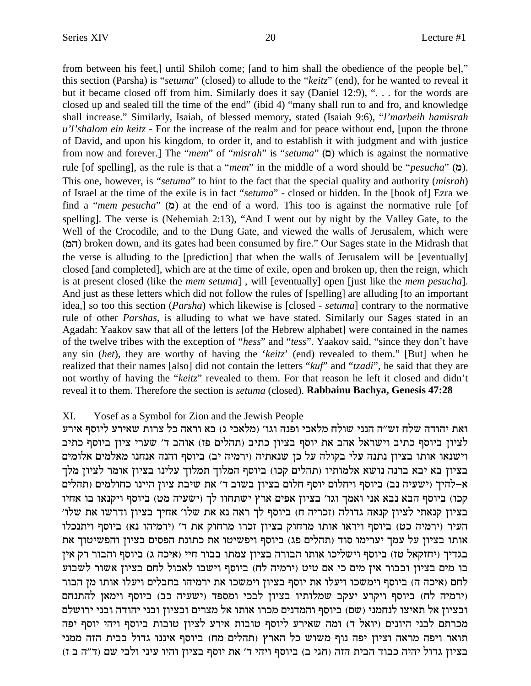from between his feet,] until Shiloh come; [and to him shall the obedience of the people be]," this section (Parsha) is "*setuma*" (closed) to allude to the "*keitz*" (end), for he wanted to reveal it but it became closed off from him. Similarly does it say (Daniel 12:9), ". . . for the words are closed up and sealed till the time of the end" (ibid 4) "many shall run to and fro, and knowledge shall increase." Similarly, Isaiah, of blessed memory, stated (Isaiah 9:6), "*l'marbeih hamisrah u'l'shalom ein keitz -* For the increase of the realm and for peace without end, [upon the throne of David, and upon his kingdom, to order it, and to establish it with judgment and with justice from now and forever.] The "*mem*" of "*misrah*" is "*setuma*" ( $\Box$ ) which is against the normative rule [of spelling], as the rule is that a "*mem*" in the middle of a word should be "*pesucha*" (n). This one, however, is "*setuma*" to hint to the fact that the special quality and authority (*misrah*) of Israel at the time of the exile is in fact "*setuma*" - closed or hidden. In the [book of] Ezra we find a "*mem pesucha*" ( $\alpha$ ) at the end of a word. This too is against the normative rule [of spelling]. The verse is (Nehemiah 2:13), "And I went out by night by the Valley Gate, to the Well of the Crocodile, and to the Dung Gate, and viewed the walls of Jerusalem, which were (nd) broken down, and its gates had been consumed by fire." Our Sages state in the Midrash that the verse is alluding to the [prediction] that when the walls of Jerusalem will be [eventually] closed [and completed], which are at the time of exile, open and broken up, then the reign, which is at present closed (like the *mem setuma*] , will [eventually] open [just like the *mem pesucha*]. And just as these letters which did not follow the rules of [spelling] are alluding [to an important idea,] so too this section (*Parsha*) which likewise is [closed - *setuma*] contrary to the normative rule of other *Parshas,* is alluding to what we have stated. Similarly our Sages stated in an Agadah: Yaakov saw that all of the letters [of the Hebrew alphabet] were contained in the names of the twelve tribes with the exception of "*hess*" and "*tess*". Yaakov said, "since they don't have any sin (*het*), they are worthy of having the '*keitz*' (end) revealed to them." [But] when he realized that their names [also] did not contain the letters "*kuf*" and "*tzadi*", he said that they are not worthy of having the "*keitz*" revealed to them. For that reason he left it closed and didn't reveal it to them. Therefore the section is *setuma* (closed). **Rabbainu Bachya, Genesis 47:28**

### XI. Yosef as a Symbol for Zion and the Jewish People

ואת יהודה שלח זש״ה הנני שולח מלאכי ופנה וגו׳ (מלאכי ג) בא וראה כל צרות שאירע ליוסף אירע לציון ביוסף כתיב וישראל אהב את יוסף בציון כתיב (תהלים פז) אוהב ד׳ שערי ציון ביוסף כתיב וישנאו אותו בציון נתנה עלי בקולה על כן שנאתיה (ירמיה יב) ביוסף והנה אנחנו מאלמים אלומים בציון בא יבא ברנה נושא אלמותיו (תהלים קכו) ביוסף המלוך תמלוך עלינו בציון אומר לציון מלך א-להיך (ישעיה נב) ביוסף ויחלום יוסף חלום בציון בשוב ד׳ את שיבת ציון היינו כחולמים (תהלים קכו) ביוסף הבא נבא אני ואמך וגו' בציון אפים ארץ ישתחוו לך (ישעיה מט) ביוסף ויקנאו בו אחיו בציון קנאתי לציון קנאה גדולה (זכריה ח) ביוסף לך ראה נא את שלו' אחיך בציון ודרשו את שלו' העיר (ירמיה כט) ביוסף ויראו אותו מרחוק בציון זכרו מרחוק את ד׳ (ירמיהו נא) ביוסף ויתנכלו אותו בציון על עמך יערימו סוד (תהלים פג) ביוסף ויפשיטו את כתונת הפסים בציון והפשיטוך את בגדיך (יחזקאל טז) ביוסף וישליכו אותו הבורה בציון צמתו בבור חיי (איכה ג) ביוסף והבור רק אין בו מים בציון ובבור אין מים כי אם טיט (ירמיה לח) ביוסף וישבו לאכול לחם בציון אשור לשבוע לחם (איכה ה) ביוסף וימשכו ויעלו את יוסף בציון וימשכו את ירמיהו בחבלים ויעלו אותו מן הבור ורמיה לח) ביוסף ויקרע יעקב שמלותיו בציון לבכי ומספד (ישעיה כב) ביוסף וימאן להתנחם) ובציון אל תאיצו לנחמני (שם) ביוסף והמדנים מכרו אותו אל מצרים ובציון ובני יהודה ובני ירושלם מכרתם לבני היונים (יואל ד) ומה שאירע ליוסף טובות אירע לציון טובות ביוסף ויהי יוסף יפה תואר ויפה מראה וציון יפה נוף משוש כל הארץ (תהלים מח) ביוסף איננו גדול בבית הזה ממני בציון גדול יהיה כבוד הבית הזה (חגי ב) ביוסף ויהי ד' את יוסף בציון והיו עיני ולבי שם (ד"ה ב ז)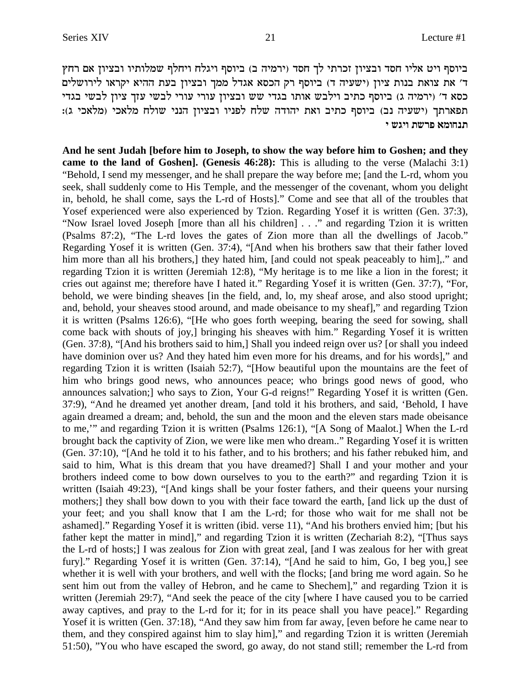ביוסף ויט אליו חסד ובציון זכרתי לך חסד (ירמיה ב) ביוסף ויגלח ויחלף שמלותיו ובציון אם רחץ ד' את צואת בנות ציון (ישעיה ד) ביוסף רק הכסא אגדל ממך ובציון בעת ההיא יקראו לירושלים כסא ד׳ (ירמיה ג) ביוסף כתיב וילבש אותו בגדי שש ובציון עורי עורי לבשי עזך ציון לבשי בגדי :(ומלאכי וב) ואים נדוסף כתיב ואת יהודה שלח לפניו ובציון הנני שולח מלאכי (מלאכי ג **i ybie zyxt `negpz**

**And he sent Judah [before him to Joseph, to show the way before him to Goshen; and they came to the land of Goshen]. (Genesis 46:28):** This is alluding to the verse (Malachi 3:1) "Behold, I send my messenger, and he shall prepare the way before me; [and the L-rd, whom you seek, shall suddenly come to His Temple, and the messenger of the covenant, whom you delight in, behold, he shall come, says the L-rd of Hosts]." Come and see that all of the troubles that Yosef experienced were also experienced by Tzion. Regarding Yosef it is written (Gen. 37:3), "Now Israel loved Joseph [more than all his children] . . ." and regarding Tzion it is written (Psalms 87:2), "The L-rd loves the gates of Zion more than all the dwellings of Jacob." Regarding Yosef it is written (Gen. 37:4), "[And when his brothers saw that their father loved him more than all his brothers,] they hated him, [and could not speak peaceably to him],." and regarding Tzion it is written (Jeremiah 12:8), "My heritage is to me like a lion in the forest; it cries out against me; therefore have I hated it." Regarding Yosef it is written (Gen. 37:7), "For, behold, we were binding sheaves [in the field, and, lo, my sheaf arose, and also stood upright; and, behold, your sheaves stood around, and made obeisance to my sheaf]," and regarding Tzion it is written (Psalms 126:6), "[He who goes forth weeping, bearing the seed for sowing, shall come back with shouts of joy,] bringing his sheaves with him." Regarding Yosef it is written (Gen. 37:8), "[And his brothers said to him,] Shall you indeed reign over us? [or shall you indeed have dominion over us? And they hated him even more for his dreams, and for his words]," and regarding Tzion it is written (Isaiah 52:7), "[How beautiful upon the mountains are the feet of him who brings good news, who announces peace; who brings good news of good, who announces salvation;] who says to Zion, Your G-d reigns!" Regarding Yosef it is written (Gen. 37:9), "And he dreamed yet another dream, [and told it his brothers, and said, 'Behold, I have again dreamed a dream; and, behold, the sun and the moon and the eleven stars made obeisance to me,'" and regarding Tzion it is written (Psalms 126:1), "[A Song of Maalot.] When the L-rd brought back the captivity of Zion, we were like men who dream.." Regarding Yosef it is written (Gen. 37:10), "[And he told it to his father, and to his brothers; and his father rebuked him, and said to him, What is this dream that you have dreamed?] Shall I and your mother and your brothers indeed come to bow down ourselves to you to the earth?" and regarding Tzion it is written (Isaiah 49:23), "[And kings shall be your foster fathers, and their queens your nursing mothers;] they shall bow down to you with their face toward the earth, [and lick up the dust of your feet; and you shall know that I am the L-rd; for those who wait for me shall not be ashamed]." Regarding Yosef it is written (ibid. verse 11), "And his brothers envied him; [but his father kept the matter in mind]," and regarding Tzion it is written (Zechariah 8:2), "[Thus says the L-rd of hosts;] I was zealous for Zion with great zeal, [and I was zealous for her with great fury]." Regarding Yosef it is written (Gen. 37:14), "[And he said to him, Go, I beg you,] see whether it is well with your brothers, and well with the flocks; [and bring me word again. So he sent him out from the valley of Hebron, and he came to Shechem]," and regarding Tzion it is written (Jeremiah 29:7), "And seek the peace of the city [where I have caused you to be carried away captives, and pray to the L-rd for it; for in its peace shall you have peace]." Regarding Yosef it is written (Gen. 37:18), "And they saw him from far away, [even before he came near to them, and they conspired against him to slay him]," and regarding Tzion it is written (Jeremiah 51:50), "You who have escaped the sword, go away, do not stand still; remember the L-rd from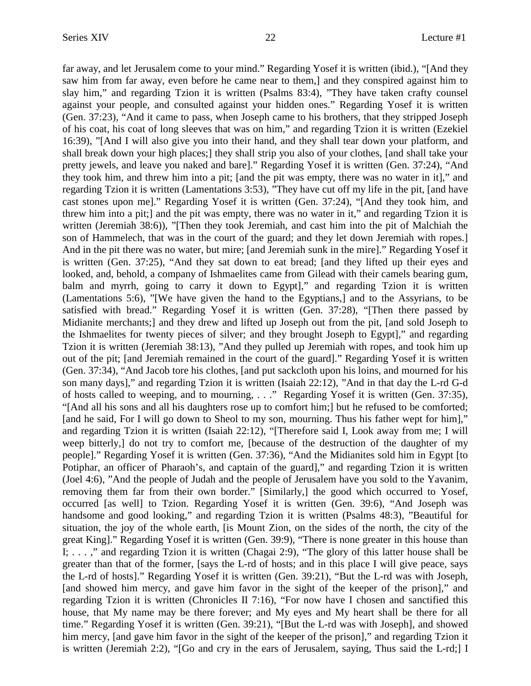far away, and let Jerusalem come to your mind." Regarding Yosef it is written (ibid.), "[And they saw him from far away, even before he came near to them,] and they conspired against him to slay him," and regarding Tzion it is written (Psalms 83:4), "They have taken crafty counsel against your people, and consulted against your hidden ones." Regarding Yosef it is written (Gen. 37:23), "And it came to pass, when Joseph came to his brothers, that they stripped Joseph of his coat, his coat of long sleeves that was on him," and regarding Tzion it is written (Ezekiel 16:39), "[And I will also give you into their hand, and they shall tear down your platform, and shall break down your high places;] they shall strip you also of your clothes, [and shall take your pretty jewels, and leave you naked and bare]." Regarding Yosef it is written (Gen. 37:24), "And they took him, and threw him into a pit; [and the pit was empty, there was no water in it]," and regarding Tzion it is written (Lamentations 3:53), "They have cut off my life in the pit, [and have cast stones upon me]." Regarding Yosef it is written (Gen. 37:24), "[And they took him, and threw him into a pit;] and the pit was empty, there was no water in it," and regarding Tzion it is written (Jeremiah 38:6)), "[Then they took Jeremiah, and cast him into the pit of Malchiah the son of Hammelech, that was in the court of the guard; and they let down Jeremiah with ropes.] And in the pit there was no water, but mire; [and Jeremiah sunk in the mire]." Regarding Yosef it is written (Gen. 37:25), "And they sat down to eat bread; [and they lifted up their eyes and looked, and, behold, a company of Ishmaelites came from Gilead with their camels bearing gum, balm and myrrh, going to carry it down to Egypt]," and regarding Tzion it is written (Lamentations 5:6), "[We have given the hand to the Egyptians,] and to the Assyrians, to be satisfied with bread." Regarding Yosef it is written (Gen. 37:28), "[Then there passed by Midianite merchants;] and they drew and lifted up Joseph out from the pit, [and sold Joseph to the Ishmaelites for twenty pieces of silver; and they brought Joseph to Egypt]," and regarding Tzion it is written (Jeremiah 38:13), "And they pulled up Jeremiah with ropes, and took him up out of the pit; [and Jeremiah remained in the court of the guard]." Regarding Yosef it is written (Gen. 37:34), "And Jacob tore his clothes, [and put sackcloth upon his loins, and mourned for his son many days]," and regarding Tzion it is written (Isaiah 22:12), "And in that day the L-rd G-d of hosts called to weeping, and to mourning, . . ." Regarding Yosef it is written (Gen. 37:35), "[And all his sons and all his daughters rose up to comfort him;] but he refused to be comforted; [and he said, For I will go down to Sheol to my son, mourning. Thus his father wept for him]," and regarding Tzion it is written (Isaiah 22:12), "[Therefore said I, Look away from me; I will weep bitterly,] do not try to comfort me, [because of the destruction of the daughter of my people]." Regarding Yosef it is written (Gen. 37:36), "And the Midianites sold him in Egypt [to Potiphar, an officer of Pharaoh's, and captain of the guard]," and regarding Tzion it is written (Joel 4:6), "And the people of Judah and the people of Jerusalem have you sold to the Yavanim, removing them far from their own border." [Similarly,] the good which occurred to Yosef, occurred [as well] to Tzion. Regarding Yosef it is written (Gen. 39:6), "And Joseph was handsome and good looking," and regarding Tzion it is written (Psalms 48:3), "Beautiful for situation, the joy of the whole earth, [is Mount Zion, on the sides of the north, the city of the great King]." Regarding Yosef it is written (Gen. 39:9), "There is none greater in this house than I; . . . ," and regarding Tzion it is written (Chagai 2:9), "The glory of this latter house shall be greater than that of the former, [says the L-rd of hosts; and in this place I will give peace, says the L-rd of hosts]." Regarding Yosef it is written (Gen. 39:21), "But the L-rd was with Joseph, [and showed him mercy, and gave him favor in the sight of the keeper of the prison]," and regarding Tzion it is written (Chronicles II 7:16), "For now have I chosen and sanctified this house, that My name may be there forever; and My eyes and My heart shall be there for all time." Regarding Yosef it is written (Gen. 39:21), "[But the L-rd was with Joseph], and showed him mercy, [and gave him favor in the sight of the keeper of the prison]," and regarding Tzion it is written (Jeremiah 2:2), "[Go and cry in the ears of Jerusalem, saying, Thus said the L-rd;] I